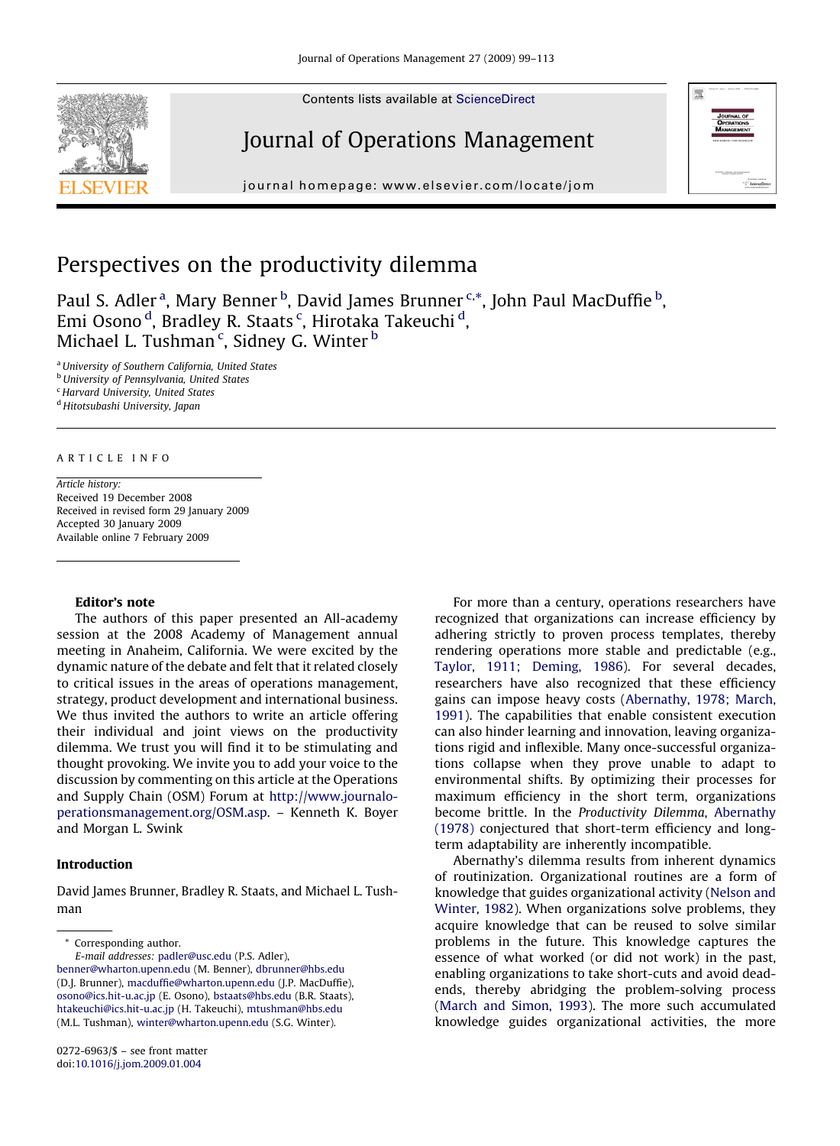Contents lists available at [ScienceDirect](http://www.sciencedirect.com/science/journal/02726963)





journal homepage: www.el sevier.com/locate/jom



# Perspectives on the productivity dilemma

P[a](#page-0-0)ul S. Adler <sup>a</sup>, Mary Benner <sup>[b](#page-0-0)</sup>, David James Brunner <sup>[c](#page-0-0),</sup>[\\*,](#page-0-0) John Paul MacDuffie <sup>b</sup>, Emi Osono <sup>[d](#page-0-0)</sup>, Bradley R. Staats <sup>[c](#page-0-0)</sup>, Hirotaka Takeuchi <sup>d</sup>, Mi[c](#page-0-0)hael L. Tushman<sup>c</sup>, Sidney G. Winter <sup>[b](#page-0-0)</sup>

<sup>a</sup> University of Southern California, United States

**b** University of Pennsylvania, United States

<sup>c</sup> Harvard University, United States

<sup>d</sup> Hitotsubashi University, Japan

ARTICLE INFO

#### Article history:

Received 19 December 2008 Received in revised form 29 January 2009 Accepted 30 January 2009 Available online 7 February 2009

# Editor's note

The authors of this paper presented an All-academy session at the 2008 Academy of Management annual meeting in Anaheim, California. We were excited by the dynamic nature of the debate and felt that it related closely to critical issues in the areas of operations management, strategy, product development and international business. We thus invited the authors to write an article offering their individual and joint views on the productivity dilemma. We trust you will find it to be stimulating and thought provoking. We invite you to add your voice to the discussion by commenting on this article at the Operations and Supply Chain (OSM) Forum at [http://www.journalo](http://www.journaloperationsmanagement.org/OSM.asp)[perationsmanagement.org/OSM.asp](http://www.journaloperationsmanagement.org/OSM.asp). – Kenneth K. Boyer and Morgan L. Swink

#### Introduction

David James Brunner, Bradley R. Staats, and Michael L. Tushman

E-mail addresses: [padler@usc.edu](mailto:padler@usc.edu) (P.S. Adler),

For more than a century, operations researchers have recognized that organizations can increase efficiency by adhering strictly to proven process templates, thereby rendering operations more stable and predictable (e.g., [Taylor, 1911; Deming, 1986\)](#page-13-0). For several decades, researchers have also recognized that these efficiency gains can impose heavy costs ([Abernathy, 1978; March,](#page-12-0) [1991](#page-12-0)). The capabilities that enable consistent execution can also hinder learning and innovation, leaving organizations rigid and inflexible. Many once-successful organizations collapse when they prove unable to adapt to environmental shifts. By optimizing their processes for maximum efficiency in the short term, organizations become brittle. In the Productivity Dilemma, [Abernathy](#page-12-0) [\(1978\)](#page-12-0) conjectured that short-term efficiency and longterm adaptability are inherently incompatible.

Abernathy's dilemma results from inherent dynamics of routinization. Organizational routines are a form of knowledge that guides organizational activity ([Nelson and](#page-13-0) [Winter, 1982](#page-13-0)). When organizations solve problems, they acquire knowledge that can be reused to solve similar problems in the future. This knowledge captures the essence of what worked (or did not work) in the past, enabling organizations to take short-cuts and avoid deadends, thereby abridging the problem-solving process [\(March and Simon, 1993](#page-13-0)). The more such accumulated knowledge guides organizational activities, the more

<sup>\*</sup> Corresponding author.

<span id="page-0-0"></span>[benner@wharton.upenn.edu](mailto:benner@wharton.upenn.edu) (M. Benner), [dbrunner@hbs.edu](mailto:dbrunner@hbs.edu) (D.J. Brunner), [macduffie@wharton.upenn.edu](mailto:macduffie@wharton.upenn.edu) (J.P. MacDuffie), [osono@ics.hit-u.ac.jp](mailto:osono@ics.hit-u.ac.jp) (E. Osono), [bstaats@hbs.edu](mailto:bstaats@hbs.edu) (B.R. Staats), [htakeuchi@ics.hit-u.ac.jp](mailto:htakeuchi@ics.hit-u.ac.jp) (H. Takeuchi), [mtushman@hbs.edu](mailto:mtushman@hbs.edu) (M.L. Tushman), [winter@wharton.upenn.edu](mailto:winter@wharton.upenn.edu) (S.G. Winter).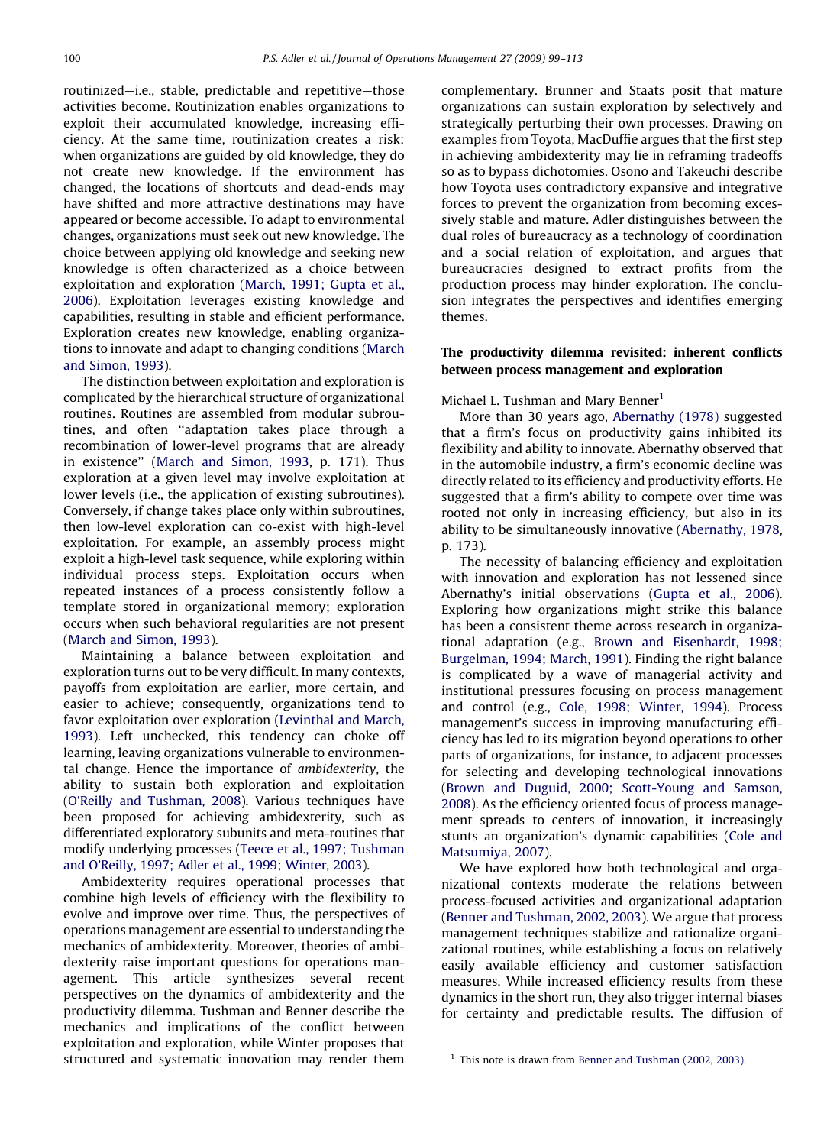routinized—i.e., stable, predictable and repetitive—those activities become. Routinization enables organizations to exploit their accumulated knowledge, increasing efficiency. At the same time, routinization creates a risk: when organizations are guided by old knowledge, they do not create new knowledge. If the environment has changed, the locations of shortcuts and dead-ends may have shifted and more attractive destinations may have appeared or become accessible. To adapt to environmental changes, organizations must seek out new knowledge. The choice between applying old knowledge and seeking new knowledge is often characterized as a choice between exploitation and exploration ([March, 1991; Gupta et al.,](#page-13-0) [2006](#page-13-0)). Exploitation leverages existing knowledge and capabilities, resulting in stable and efficient performance. Exploration creates new knowledge, enabling organizations to innovate and adapt to changing conditions ([March](#page-13-0) [and Simon, 1993](#page-13-0)).

The distinction between exploitation and exploration is complicated by the hierarchical structure of organizational routines. Routines are assembled from modular subroutines, and often ''adaptation takes place through a recombination of lower-level programs that are already in existence'' [\(March and Simon, 1993,](#page-13-0) p. 171). Thus exploration at a given level may involve exploitation at lower levels (i.e., the application of existing subroutines). Conversely, if change takes place only within subroutines, then low-level exploration can co-exist with high-level exploitation. For example, an assembly process might exploit a high-level task sequence, while exploring within individual process steps. Exploitation occurs when repeated instances of a process consistently follow a template stored in organizational memory; exploration occurs when such behavioral regularities are not present [\(March and Simon, 1993\)](#page-13-0).

Maintaining a balance between exploitation and exploration turns out to be very difficult. In many contexts, payoffs from exploitation are earlier, more certain, and easier to achieve; consequently, organizations tend to favor exploitation over exploration [\(Levinthal and March,](#page-13-0) [1993](#page-13-0)). Left unchecked, this tendency can choke off learning, leaving organizations vulnerable to environmental change. Hence the importance of ambidexterity, the ability to sustain both exploration and exploitation [\(O'Reilly and Tushman, 2008](#page-13-0)). Various techniques have been proposed for achieving ambidexterity, such as differentiated exploratory subunits and meta-routines that modify underlying processes ([Teece et al., 1997; Tushman](#page-13-0) [and O'Reilly, 1997; Adler et al., 1999; Winter, 2003\)](#page-13-0).

<span id="page-1-0"></span>Ambidexterity requires operational processes that combine high levels of efficiency with the flexibility to evolve and improve over time. Thus, the perspectives of operations management are essential to understanding the mechanics of ambidexterity. Moreover, theories of ambidexterity raise important questions for operations management. This article synthesizes several recent perspectives on the dynamics of ambidexterity and the productivity dilemma. Tushman and Benner describe the mechanics and implications of the conflict between exploitation and exploration, while Winter proposes that structured and systematic innovation may render them complementary. Brunner and Staats posit that mature organizations can sustain exploration by selectively and strategically perturbing their own processes. Drawing on examples from Toyota, MacDuffie argues that the first step in achieving ambidexterity may lie in reframing tradeoffs so as to bypass dichotomies. Osono and Takeuchi describe how Toyota uses contradictory expansive and integrative forces to prevent the organization from becoming excessively stable and mature. Adler distinguishes between the dual roles of bureaucracy as a technology of coordination and a social relation of exploitation, and argues that bureaucracies designed to extract profits from the production process may hinder exploration. The conclusion integrates the perspectives and identifies emerging themes.

# The productivity dilemma revisited: inherent conflicts between process management and exploration

#### Michael L. Tushman and Mary Benner<sup>1</sup>

More than 30 years ago, [Abernathy \(1978\)](#page-12-0) suggested that a firm's focus on productivity gains inhibited its flexibility and ability to innovate. Abernathy observed that in the automobile industry, a firm's economic decline was directly related to its efficiency and productivity efforts. He suggested that a firm's ability to compete over time was rooted not only in increasing efficiency, but also in its ability to be simultaneously innovative ([Abernathy, 1978](#page-12-0), p. 173).

The necessity of balancing efficiency and exploitation with innovation and exploration has not lessened since Abernathy's initial observations ([Gupta et al., 2006](#page-13-0)). Exploring how organizations might strike this balance has been a consistent theme across research in organizational adaptation (e.g., [Brown and Eisenhardt, 1998;](#page-12-0) [Burgelman, 1994; March, 1991\)](#page-12-0). Finding the right balance is complicated by a wave of managerial activity and institutional pressures focusing on process management and control (e.g., [Cole, 1998; Winter, 1994](#page-13-0)). Process management's success in improving manufacturing efficiency has led to its migration beyond operations to other parts of organizations, for instance, to adjacent processes for selecting and developing technological innovations [\(Brown and Duguid, 2000; Scott-Young and Samson,](#page-12-0) [2008](#page-12-0)). As the efficiency oriented focus of process management spreads to centers of innovation, it increasingly stunts an organization's dynamic capabilities ([Cole and](#page-13-0) [Matsumiya, 2007\)](#page-13-0).

We have explored how both technological and organizational contexts moderate the relations between process-focused activities and organizational adaptation [\(Benner and Tushman, 2002, 2003\)](#page-12-0). We argue that process management techniques stabilize and rationalize organizational routines, while establishing a focus on relatively easily available efficiency and customer satisfaction measures. While increased efficiency results from these dynamics in the short run, they also trigger internal biases for certainty and predictable results. The diffusion of

 $1$  This note is drawn from [Benner and Tushman \(2002, 2003\)](#page-12-0).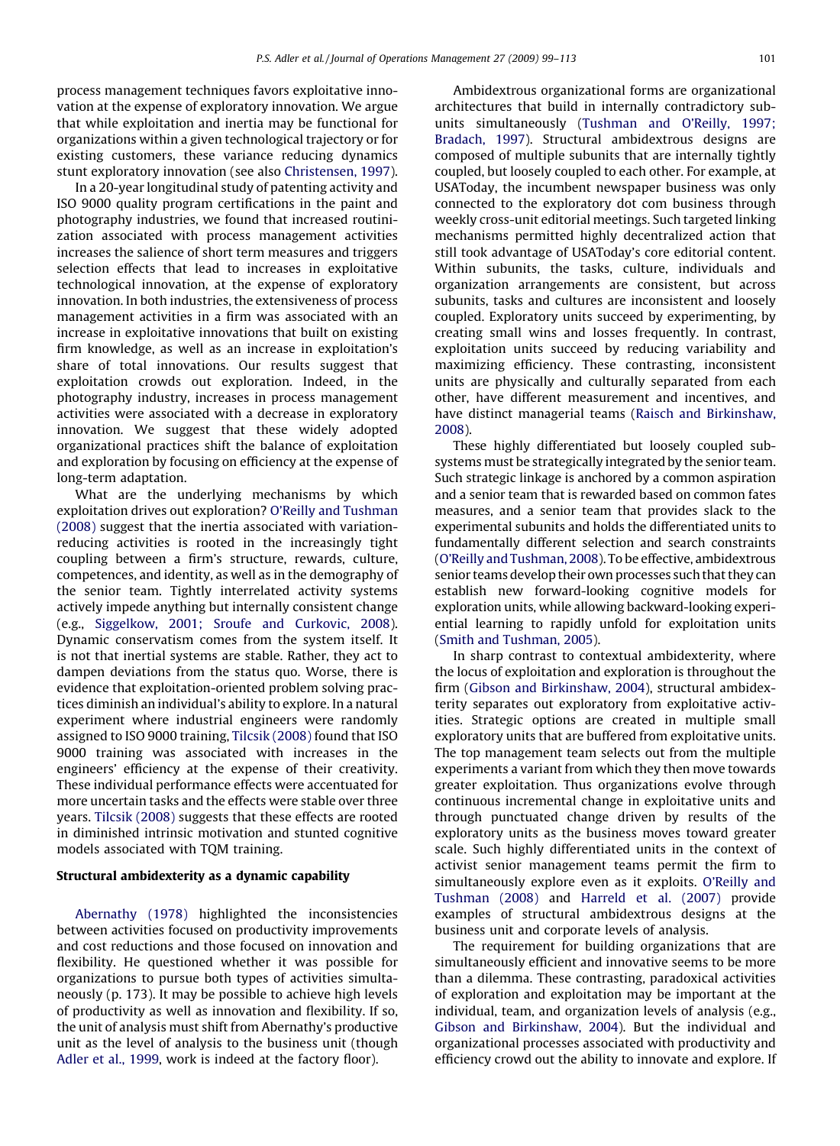process management techniques favors exploitative innovation at the expense of exploratory innovation. We argue that while exploitation and inertia may be functional for organizations within a given technological trajectory or for existing customers, these variance reducing dynamics stunt exploratory innovation (see also [Christensen, 1997](#page-13-0)).

In a 20-year longitudinal study of patenting activity and ISO 9000 quality program certifications in the paint and photography industries, we found that increased routinization associated with process management activities increases the salience of short term measures and triggers selection effects that lead to increases in exploitative technological innovation, at the expense of exploratory innovation. In both industries, the extensiveness of process management activities in a firm was associated with an increase in exploitative innovations that built on existing firm knowledge, as well as an increase in exploitation's share of total innovations. Our results suggest that exploitation crowds out exploration. Indeed, in the photography industry, increases in process management activities were associated with a decrease in exploratory innovation. We suggest that these widely adopted organizational practices shift the balance of exploitation and exploration by focusing on efficiency at the expense of long-term adaptation.

What are the underlying mechanisms by which exploitation drives out exploration? [O'Reilly and Tushman](#page-13-0) [\(2008\)](#page-13-0) suggest that the inertia associated with variationreducing activities is rooted in the increasingly tight coupling between a firm's structure, rewards, culture, competences, and identity, as well as in the demography of the senior team. Tightly interrelated activity systems actively impede anything but internally consistent change (e.g., [Siggelkow, 2001; Sroufe and Curkovic, 2008](#page-13-0)). Dynamic conservatism comes from the system itself. It is not that inertial systems are stable. Rather, they act to dampen deviations from the status quo. Worse, there is evidence that exploitation-oriented problem solving practices diminish an individual's ability to explore. In a natural experiment where industrial engineers were randomly assigned to ISO 9000 training, [Tilcsik \(2008\)](#page-13-0) found that ISO 9000 training was associated with increases in the engineers' efficiency at the expense of their creativity. These individual performance effects were accentuated for more uncertain tasks and the effects were stable over three years. [Tilcsik \(2008\)](#page-13-0) suggests that these effects are rooted in diminished intrinsic motivation and stunted cognitive models associated with TQM training.

## Structural ambidexterity as a dynamic capability

[Abernathy \(1978\)](#page-12-0) highlighted the inconsistencies between activities focused on productivity improvements and cost reductions and those focused on innovation and flexibility. He questioned whether it was possible for organizations to pursue both types of activities simultaneously (p. 173). It may be possible to achieve high levels of productivity as well as innovation and flexibility. If so, the unit of analysis must shift from Abernathy's productive unit as the level of analysis to the business unit (though [Adler et al., 1999](#page-12-0), work is indeed at the factory floor).

Ambidextrous organizational forms are organizational architectures that build in internally contradictory subunits simultaneously ([Tushman and O'Reilly, 1997;](#page-13-0) [Bradach, 1997](#page-13-0)). Structural ambidextrous designs are composed of multiple subunits that are internally tightly coupled, but loosely coupled to each other. For example, at USAToday, the incumbent newspaper business was only connected to the exploratory dot com business through weekly cross-unit editorial meetings. Such targeted linking mechanisms permitted highly decentralized action that still took advantage of USAToday's core editorial content. Within subunits, the tasks, culture, individuals and organization arrangements are consistent, but across subunits, tasks and cultures are inconsistent and loosely coupled. Exploratory units succeed by experimenting, by creating small wins and losses frequently. In contrast, exploitation units succeed by reducing variability and maximizing efficiency. These contrasting, inconsistent units are physically and culturally separated from each other, have different measurement and incentives, and have distinct managerial teams [\(Raisch and Birkinshaw,](#page-13-0) [2008](#page-13-0)).

These highly differentiated but loosely coupled subsystems must be strategically integrated by the senior team. Such strategic linkage is anchored by a common aspiration and a senior team that is rewarded based on common fates measures, and a senior team that provides slack to the experimental subunits and holds the differentiated units to fundamentally different selection and search constraints [\(O'Reilly and Tushman, 2008](#page-13-0)). To be effective, ambidextrous senior teams develop their own processes such that they can establish new forward-looking cognitive models for exploration units, while allowing backward-looking experiential learning to rapidly unfold for exploitation units [\(Smith and Tushman, 2005](#page-13-0)).

In sharp contrast to contextual ambidexterity, where the locus of exploitation and exploration is throughout the firm [\(Gibson and Birkinshaw, 2004](#page-13-0)), structural ambidexterity separates out exploratory from exploitative activities. Strategic options are created in multiple small exploratory units that are buffered from exploitative units. The top management team selects out from the multiple experiments a variant from which they then move towards greater exploitation. Thus organizations evolve through continuous incremental change in exploitative units and through punctuated change driven by results of the exploratory units as the business moves toward greater scale. Such highly differentiated units in the context of activist senior management teams permit the firm to simultaneously explore even as it exploits. [O'Reilly and](#page-13-0) [Tushman \(2008\)](#page-13-0) and [Harreld et al. \(2007\)](#page-13-0) provide examples of structural ambidextrous designs at the business unit and corporate levels of analysis.

The requirement for building organizations that are simultaneously efficient and innovative seems to be more than a dilemma. These contrasting, paradoxical activities of exploration and exploitation may be important at the individual, team, and organization levels of analysis (e.g., [Gibson and Birkinshaw, 2004\)](#page-13-0). But the individual and organizational processes associated with productivity and efficiency crowd out the ability to innovate and explore. If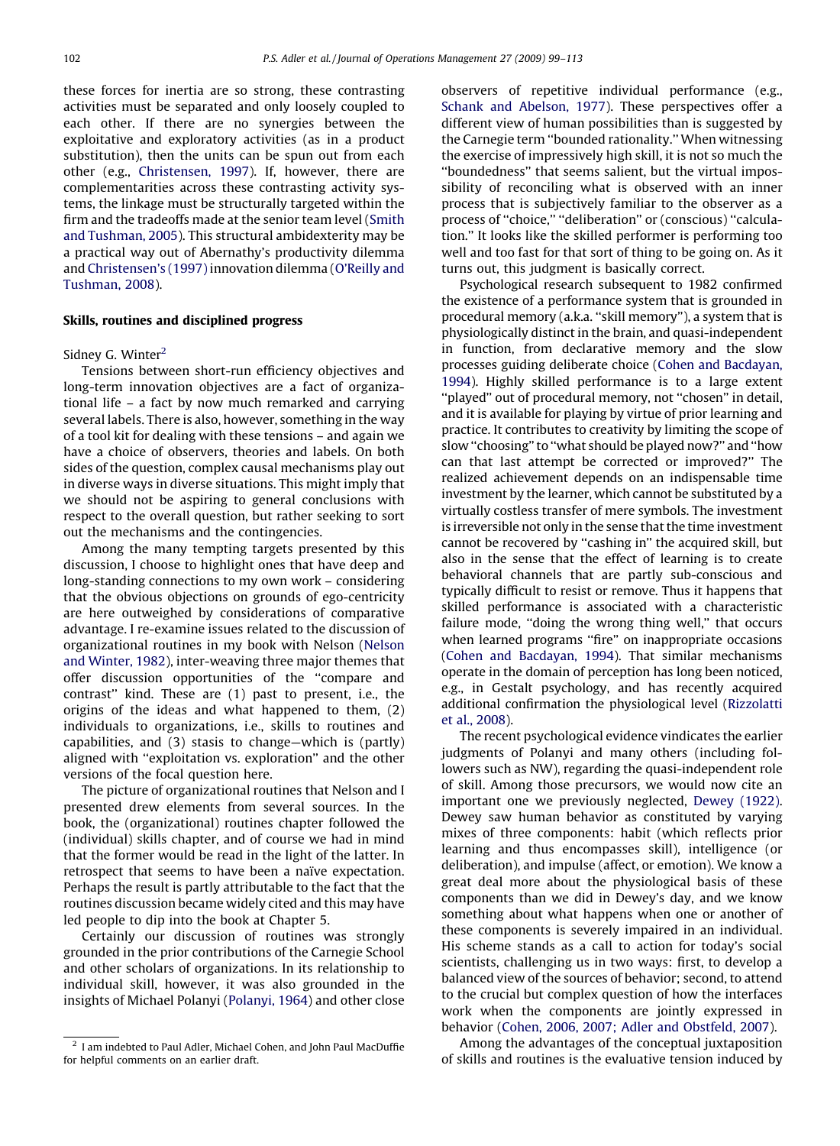these forces for inertia are so strong, these contrasting activities must be separated and only loosely coupled to each other. If there are no synergies between the exploitative and exploratory activities (as in a product substitution), then the units can be spun out from each other (e.g., [Christensen, 1997\)](#page-13-0). If, however, there are complementarities across these contrasting activity systems, the linkage must be structurally targeted within the firm and the tradeoffs made at the senior team level ([Smith](#page-13-0) [and Tushman, 2005](#page-13-0)). This structural ambidexterity may be a practical way out of Abernathy's productivity dilemma and [Christensen's \(1997\)](#page-13-0) innovation dilemma [\(O'Reilly and](#page-13-0) [Tushman, 2008](#page-13-0)).

#### Skills, routines and disciplined progress

#### Sidney G. Winter<sup>2</sup>

Tensions between short-run efficiency objectives and long-term innovation objectives are a fact of organizational life – a fact by now much remarked and carrying several labels. There is also, however, something in the way of a tool kit for dealing with these tensions – and again we have a choice of observers, theories and labels. On both sides of the question, complex causal mechanisms play out in diverse ways in diverse situations. This might imply that we should not be aspiring to general conclusions with respect to the overall question, but rather seeking to sort out the mechanisms and the contingencies.

Among the many tempting targets presented by this discussion, I choose to highlight ones that have deep and long-standing connections to my own work – considering that the obvious objections on grounds of ego-centricity are here outweighed by considerations of comparative advantage. I re-examine issues related to the discussion of organizational routines in my book with Nelson ([Nelson](#page-13-0) [and Winter, 1982](#page-13-0)), inter-weaving three major themes that offer discussion opportunities of the ''compare and contrast'' kind. These are (1) past to present, i.e., the origins of the ideas and what happened to them, (2) individuals to organizations, i.e., skills to routines and capabilities, and (3) stasis to change—which is (partly) aligned with ''exploitation vs. exploration'' and the other versions of the focal question here.

The picture of organizational routines that Nelson and I presented drew elements from several sources. In the book, the (organizational) routines chapter followed the (individual) skills chapter, and of course we had in mind that the former would be read in the light of the latter. In retrospect that seems to have been a naïve expectation. Perhaps the result is partly attributable to the fact that the routines discussion became widely cited and this may have led people to dip into the book at Chapter 5.

Certainly our discussion of routines was strongly grounded in the prior contributions of the Carnegie School and other scholars of organizations. In its relationship to individual skill, however, it was also grounded in the insights of Michael Polanyi [\(Polanyi, 1964\)](#page-13-0) and other close

observers of repetitive individual performance (e.g., [Schank and Abelson, 1977\)](#page-13-0). These perspectives offer a different view of human possibilities than is suggested by the Carnegie term ''bounded rationality.'' When witnessing the exercise of impressively high skill, it is not so much the ''boundedness'' that seems salient, but the virtual impossibility of reconciling what is observed with an inner process that is subjectively familiar to the observer as a process of ''choice,'' ''deliberation'' or (conscious) ''calculation.'' It looks like the skilled performer is performing too well and too fast for that sort of thing to be going on. As it turns out, this judgment is basically correct.

Psychological research subsequent to 1982 confirmed the existence of a performance system that is grounded in procedural memory (a.k.a. ''skill memory''), a system that is physiologically distinct in the brain, and quasi-independent in function, from declarative memory and the slow processes guiding deliberate choice ([Cohen and Bacdayan,](#page-13-0) [1994](#page-13-0)). Highly skilled performance is to a large extent "played" out of procedural memory, not "chosen" in detail, and it is available for playing by virtue of prior learning and practice. It contributes to creativity by limiting the scope of slow ''choosing'' to ''what should be played now?'' and ''how can that last attempt be corrected or improved?'' The realized achievement depends on an indispensable time investment by the learner, which cannot be substituted by a virtually costless transfer of mere symbols. The investment is irreversible not only in the sense that the time investment cannot be recovered by ''cashing in'' the acquired skill, but also in the sense that the effect of learning is to create behavioral channels that are partly sub-conscious and typically difficult to resist or remove. Thus it happens that skilled performance is associated with a characteristic failure mode, "doing the wrong thing well," that occurs when learned programs ''fire'' on inappropriate occasions [\(Cohen and Bacdayan, 1994\)](#page-13-0). That similar mechanisms operate in the domain of perception has long been noticed, e.g., in Gestalt psychology, and has recently acquired additional confirmation the physiological level ([Rizzolatti](#page-13-0) [et al., 2008\)](#page-13-0).

The recent psychological evidence vindicates the earlier judgments of Polanyi and many others (including followers such as NW), regarding the quasi-independent role of skill. Among those precursors, we would now cite an important one we previously neglected, [Dewey \(1922\)](#page-13-0). Dewey saw human behavior as constituted by varying mixes of three components: habit (which reflects prior learning and thus encompasses skill), intelligence (or deliberation), and impulse (affect, or emotion). We know a great deal more about the physiological basis of these components than we did in Dewey's day, and we know something about what happens when one or another of these components is severely impaired in an individual. His scheme stands as a call to action for today's social scientists, challenging us in two ways: first, to develop a balanced view of the sources of behavior; second, to attend to the crucial but complex question of how the interfaces work when the components are jointly expressed in behavior ([Cohen, 2006, 2007; Adler and Obstfeld, 2007\)](#page-13-0).

Among the advantages of the conceptual juxtaposition of skills and routines is the evaluative tension induced by

<span id="page-3-0"></span><sup>2</sup> I am indebted to Paul Adler, Michael Cohen, and John Paul MacDuffie for helpful comments on an earlier draft.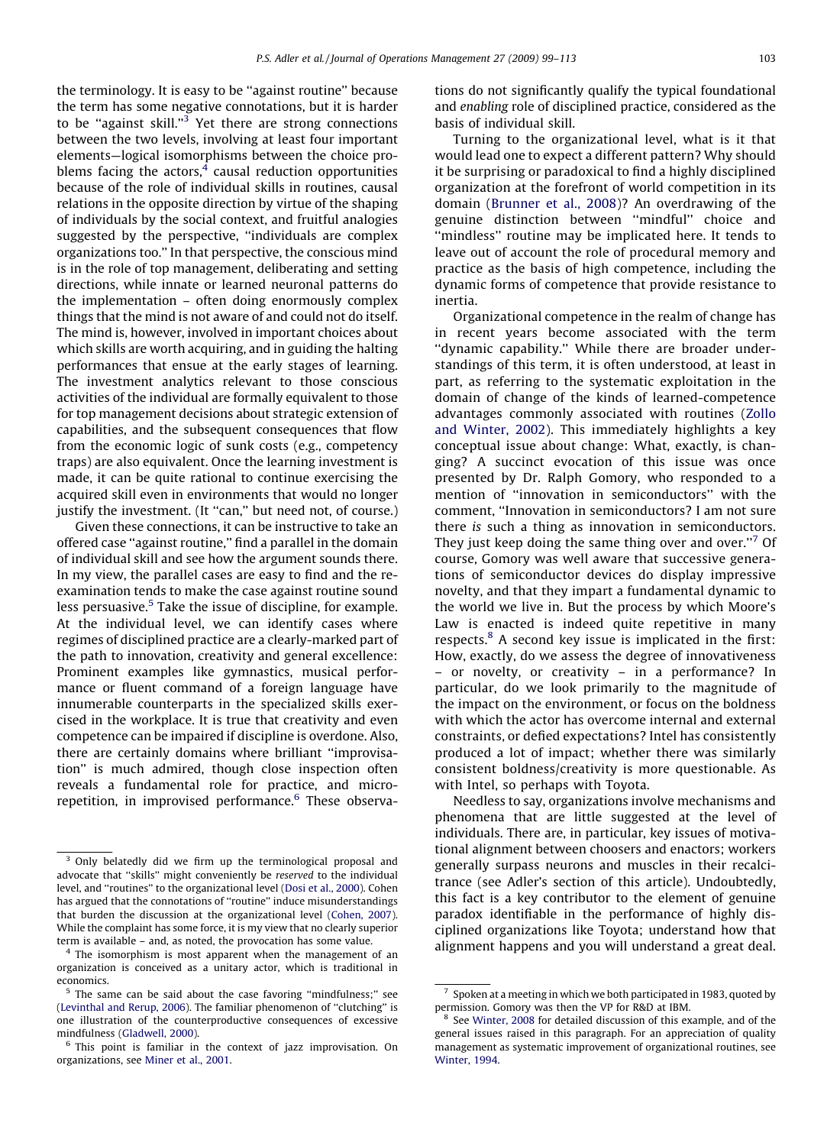the terminology. It is easy to be ''against routine'' because the term has some negative connotations, but it is harder to be "against skill." $3$  Yet there are strong connections between the two levels, involving at least four important elements—logical isomorphisms between the choice problems facing the actors, $\frac{4}{3}$  causal reduction opportunities because of the role of individual skills in routines, causal relations in the opposite direction by virtue of the shaping of individuals by the social context, and fruitful analogies suggested by the perspective, ''individuals are complex organizations too.'' In that perspective, the conscious mind is in the role of top management, deliberating and setting directions, while innate or learned neuronal patterns do the implementation – often doing enormously complex things that the mind is not aware of and could not do itself. The mind is, however, involved in important choices about which skills are worth acquiring, and in guiding the halting performances that ensue at the early stages of learning. The investment analytics relevant to those conscious activities of the individual are formally equivalent to those for top management decisions about strategic extension of capabilities, and the subsequent consequences that flow from the economic logic of sunk costs (e.g., competency traps) are also equivalent. Once the learning investment is made, it can be quite rational to continue exercising the acquired skill even in environments that would no longer justify the investment. (It "can," but need not, of course.)

Given these connections, it can be instructive to take an offered case ''against routine,'' find a parallel in the domain of individual skill and see how the argument sounds there. In my view, the parallel cases are easy to find and the reexamination tends to make the case against routine sound less persuasive.<sup>[5](#page-4-0)</sup> Take the issue of discipline, for example. At the individual level, we can identify cases where regimes of disciplined practice are a clearly-marked part of the path to innovation, creativity and general excellence: Prominent examples like gymnastics, musical performance or fluent command of a foreign language have innumerable counterparts in the specialized skills exercised in the workplace. It is true that creativity and even competence can be impaired if discipline is overdone. Also, there are certainly domains where brilliant ''improvisation'' is much admired, though close inspection often reveals a fundamental role for practice, and micro-repetition, in improvised performance.<sup>[6](#page-4-0)</sup> These observations do not significantly qualify the typical foundational and enabling role of disciplined practice, considered as the basis of individual skill.

Turning to the organizational level, what is it that would lead one to expect a different pattern? Why should it be surprising or paradoxical to find a highly disciplined organization at the forefront of world competition in its domain ([Brunner et al., 2008\)](#page-12-0)? An overdrawing of the genuine distinction between ''mindful'' choice and ''mindless'' routine may be implicated here. It tends to leave out of account the role of procedural memory and practice as the basis of high competence, including the dynamic forms of competence that provide resistance to inertia.

Organizational competence in the realm of change has in recent years become associated with the term ''dynamic capability.'' While there are broader understandings of this term, it is often understood, at least in part, as referring to the systematic exploitation in the domain of change of the kinds of learned-competence advantages commonly associated with routines ([Zollo](#page-14-0) [and Winter, 2002\)](#page-14-0). This immediately highlights a key conceptual issue about change: What, exactly, is changing? A succinct evocation of this issue was once presented by Dr. Ralph Gomory, who responded to a mention of ''innovation in semiconductors'' with the comment, ''Innovation in semiconductors? I am not sure there is such a thing as innovation in semiconductors. They just keep doing the same thing over and over."<sup>[7](#page-4-0)</sup> Of course, Gomory was well aware that successive generations of semiconductor devices do display impressive novelty, and that they impart a fundamental dynamic to the world we live in. But the process by which Moore's Law is enacted is indeed quite repetitive in many respects.<sup>[8](#page-4-0)</sup> A second key issue is implicated in the first: How, exactly, do we assess the degree of innovativeness – or novelty, or creativity – in a performance? In particular, do we look primarily to the magnitude of the impact on the environment, or focus on the boldness with which the actor has overcome internal and external constraints, or defied expectations? Intel has consistently produced a lot of impact; whether there was similarly consistent boldness/creativity is more questionable. As with Intel, so perhaps with Toyota.

Needless to say, organizations involve mechanisms and phenomena that are little suggested at the level of individuals. There are, in particular, key issues of motivational alignment between choosers and enactors; workers generally surpass neurons and muscles in their recalcitrance (see Adler's section of this article). Undoubtedly, this fact is a key contributor to the element of genuine paradox identifiable in the performance of highly disciplined organizations like Toyota; understand how that alignment happens and you will understand a great deal.

<sup>&</sup>lt;sup>3</sup> Only belatedly did we firm up the terminological proposal and advocate that ''skills'' might conveniently be reserved to the individual level, and ''routines'' to the organizational level ([Dosi et al., 2000](#page-13-0)). Cohen has argued that the connotations of ''routine'' induce misunderstandings that burden the discussion at the organizational level ([Cohen, 2007](#page-13-0)). While the complaint has some force, it is my view that no clearly superior term is available – and, as noted, the provocation has some value.

<sup>&</sup>lt;sup>4</sup> The isomorphism is most apparent when the management of an organization is conceived as a unitary actor, which is traditional in economics.

<sup>&</sup>lt;sup>5</sup> The same can be said about the case favoring "mindfulness;" see [\(Levinthal and Rerup, 2006](#page-13-0)). The familiar phenomenon of ''clutching'' is one illustration of the counterproductive consequences of excessive mindfulness [\(Gladwell, 2000](#page-13-0)).

<span id="page-4-0"></span><sup>6</sup> This point is familiar in the context of jazz improvisation. On organizations, see [Miner et al., 2001.](#page-13-0)

 $<sup>7</sup>$  Spoken at a meeting in which we both participated in 1983, quoted by</sup> permission. Gomory was then the VP for R&D at IBM.

<sup>8</sup> See [Winter, 2008](#page-14-0) for detailed discussion of this example, and of the general issues raised in this paragraph. For an appreciation of quality management as systematic improvement of organizational routines, see [Winter, 1994.](#page-13-0)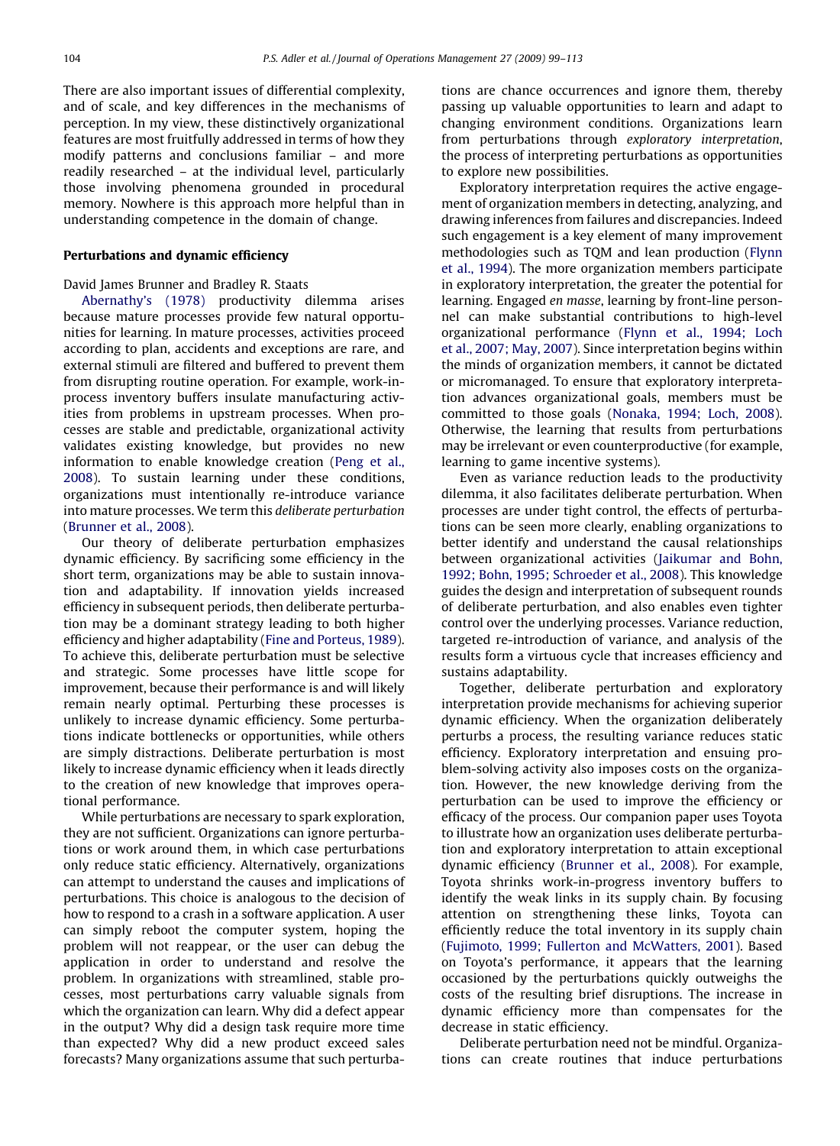There are also important issues of differential complexity, and of scale, and key differences in the mechanisms of perception. In my view, these distinctively organizational features are most fruitfully addressed in terms of how they modify patterns and conclusions familiar – and more readily researched – at the individual level, particularly those involving phenomena grounded in procedural memory. Nowhere is this approach more helpful than in understanding competence in the domain of change.

#### Perturbations and dynamic efficiency

# David James Brunner and Bradley R. Staats

[Abernathy's \(1978\)](#page-12-0) productivity dilemma arises because mature processes provide few natural opportunities for learning. In mature processes, activities proceed according to plan, accidents and exceptions are rare, and external stimuli are filtered and buffered to prevent them from disrupting routine operation. For example, work-inprocess inventory buffers insulate manufacturing activities from problems in upstream processes. When processes are stable and predictable, organizational activity validates existing knowledge, but provides no new information to enable knowledge creation [\(Peng et al.,](#page-13-0) [2008](#page-13-0)). To sustain learning under these conditions, organizations must intentionally re-introduce variance into mature processes. We term this deliberate perturbation [\(Brunner et al., 2008\)](#page-12-0).

Our theory of deliberate perturbation emphasizes dynamic efficiency. By sacrificing some efficiency in the short term, organizations may be able to sustain innovation and adaptability. If innovation yields increased efficiency in subsequent periods, then deliberate perturbation may be a dominant strategy leading to both higher efficiency and higher adaptability [\(Fine and Porteus, 1989](#page-13-0)). To achieve this, deliberate perturbation must be selective and strategic. Some processes have little scope for improvement, because their performance is and will likely remain nearly optimal. Perturbing these processes is unlikely to increase dynamic efficiency. Some perturbations indicate bottlenecks or opportunities, while others are simply distractions. Deliberate perturbation is most likely to increase dynamic efficiency when it leads directly to the creation of new knowledge that improves operational performance.

While perturbations are necessary to spark exploration, they are not sufficient. Organizations can ignore perturbations or work around them, in which case perturbations only reduce static efficiency. Alternatively, organizations can attempt to understand the causes and implications of perturbations. This choice is analogous to the decision of how to respond to a crash in a software application. A user can simply reboot the computer system, hoping the problem will not reappear, or the user can debug the application in order to understand and resolve the problem. In organizations with streamlined, stable processes, most perturbations carry valuable signals from which the organization can learn. Why did a defect appear in the output? Why did a design task require more time than expected? Why did a new product exceed sales forecasts? Many organizations assume that such perturbations are chance occurrences and ignore them, thereby passing up valuable opportunities to learn and adapt to changing environment conditions. Organizations learn from perturbations through exploratory interpretation, the process of interpreting perturbations as opportunities to explore new possibilities.

Exploratory interpretation requires the active engagement of organization members in detecting, analyzing, and drawing inferences from failures and discrepancies. Indeed such engagement is a key element of many improvement methodologies such as TQM and lean production [\(Flynn](#page-13-0) [et al., 1994](#page-13-0)). The more organization members participate in exploratory interpretation, the greater the potential for learning. Engaged en masse, learning by front-line personnel can make substantial contributions to high-level organizational performance ([Flynn et al., 1994; Loch](#page-13-0) [et al., 2007; May, 2007](#page-13-0)). Since interpretation begins within the minds of organization members, it cannot be dictated or micromanaged. To ensure that exploratory interpretation advances organizational goals, members must be committed to those goals [\(Nonaka, 1994; Loch, 2008](#page-13-0)). Otherwise, the learning that results from perturbations may be irrelevant or even counterproductive (for example, learning to game incentive systems).

Even as variance reduction leads to the productivity dilemma, it also facilitates deliberate perturbation. When processes are under tight control, the effects of perturbations can be seen more clearly, enabling organizations to better identify and understand the causal relationships between organizational activities ([Jaikumar and Bohn,](#page-13-0) [1992; Bohn, 1995; Schroeder et al., 2008](#page-13-0)). This knowledge guides the design and interpretation of subsequent rounds of deliberate perturbation, and also enables even tighter control over the underlying processes. Variance reduction, targeted re-introduction of variance, and analysis of the results form a virtuous cycle that increases efficiency and sustains adaptability.

Together, deliberate perturbation and exploratory interpretation provide mechanisms for achieving superior dynamic efficiency. When the organization deliberately perturbs a process, the resulting variance reduces static efficiency. Exploratory interpretation and ensuing problem-solving activity also imposes costs on the organization. However, the new knowledge deriving from the perturbation can be used to improve the efficiency or efficacy of the process. Our companion paper uses Toyota to illustrate how an organization uses deliberate perturbation and exploratory interpretation to attain exceptional dynamic efficiency ([Brunner et al., 2008](#page-12-0)). For example, Toyota shrinks work-in-progress inventory buffers to identify the weak links in its supply chain. By focusing attention on strengthening these links, Toyota can efficiently reduce the total inventory in its supply chain [\(Fujimoto, 1999; Fullerton and McWatters, 2001\)](#page-13-0). Based on Toyota's performance, it appears that the learning occasioned by the perturbations quickly outweighs the costs of the resulting brief disruptions. The increase in dynamic efficiency more than compensates for the decrease in static efficiency.

Deliberate perturbation need not be mindful. Organizations can create routines that induce perturbations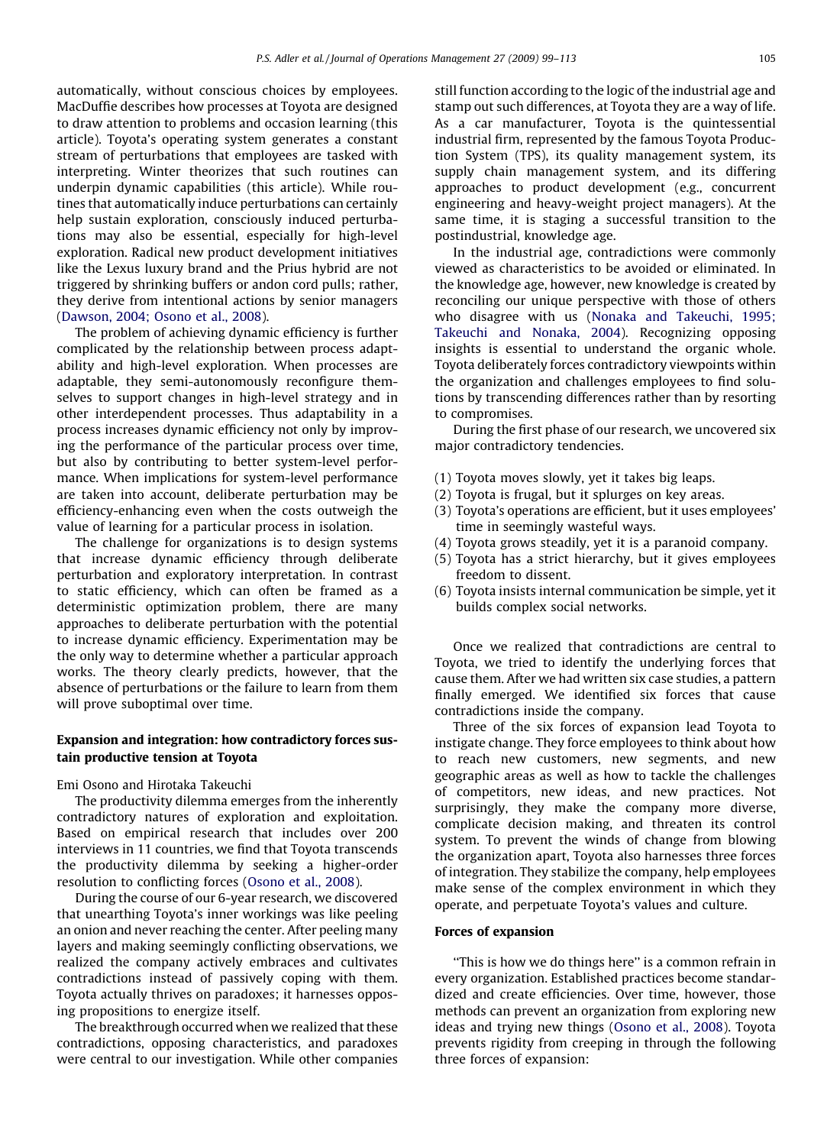automatically, without conscious choices by employees. MacDuffie describes how processes at Toyota are designed to draw attention to problems and occasion learning (this article). Toyota's operating system generates a constant stream of perturbations that employees are tasked with interpreting. Winter theorizes that such routines can underpin dynamic capabilities (this article). While routines that automatically induce perturbations can certainly help sustain exploration, consciously induced perturbations may also be essential, especially for high-level exploration. Radical new product development initiatives like the Lexus luxury brand and the Prius hybrid are not triggered by shrinking buffers or andon cord pulls; rather, they derive from intentional actions by senior managers ([Dawson, 2004; Osono et al., 2008\)](#page-13-0).

The problem of achieving dynamic efficiency is further complicated by the relationship between process adaptability and high-level exploration. When processes are adaptable, they semi-autonomously reconfigure themselves to support changes in high-level strategy and in other interdependent processes. Thus adaptability in a process increases dynamic efficiency not only by improving the performance of the particular process over time, but also by contributing to better system-level performance. When implications for system-level performance are taken into account, deliberate perturbation may be efficiency-enhancing even when the costs outweigh the value of learning for a particular process in isolation.

The challenge for organizations is to design systems that increase dynamic efficiency through deliberate perturbation and exploratory interpretation. In contrast to static efficiency, which can often be framed as a deterministic optimization problem, there are many approaches to deliberate perturbation with the potential to increase dynamic efficiency. Experimentation may be the only way to determine whether a particular approach works. The theory clearly predicts, however, that the absence of perturbations or the failure to learn from them will prove suboptimal over time.

# Expansion and integration: how contradictory forces sustain productive tension at Toyota

Emi Osono and Hirotaka Takeuchi

The productivity dilemma emerges from the inherently contradictory natures of exploration and exploitation. Based on empirical research that includes over 200 interviews in 11 countries, we find that Toyota transcends the productivity dilemma by seeking a higher-order resolution to conflicting forces ([Osono et al., 2008](#page-13-0)).

During the course of our 6-year research, we discovered that unearthing Toyota's inner workings was like peeling an onion and never reaching the center. After peeling many layers and making seemingly conflicting observations, we realized the company actively embraces and cultivates contradictions instead of passively coping with them. Toyota actually thrives on paradoxes; it harnesses opposing propositions to energize itself.

The breakthrough occurred when we realized that these contradictions, opposing characteristics, and paradoxes were central to our investigation. While other companies still function according to the logic of the industrial age and stamp out such differences, at Toyota they are a way of life. As a car manufacturer, Toyota is the quintessential industrial firm, represented by the famous Toyota Production System (TPS), its quality management system, its supply chain management system, and its differing approaches to product development (e.g., concurrent engineering and heavy-weight project managers). At the same time, it is staging a successful transition to the postindustrial, knowledge age.

In the industrial age, contradictions were commonly viewed as characteristics to be avoided or eliminated. In the knowledge age, however, new knowledge is created by reconciling our unique perspective with those of others who disagree with us ([Nonaka and Takeuchi, 1995;](#page-13-0) [Takeuchi and Nonaka, 2004](#page-13-0)). Recognizing opposing insights is essential to understand the organic whole. Toyota deliberately forces contradictory viewpoints within the organization and challenges employees to find solutions by transcending differences rather than by resorting to compromises.

During the first phase of our research, we uncovered six major contradictory tendencies.

- (1) Toyota moves slowly, yet it takes big leaps.
- (2) Toyota is frugal, but it splurges on key areas.
- (3) Toyota's operations are efficient, but it uses employees' time in seemingly wasteful ways.
- (4) Toyota grows steadily, yet it is a paranoid company.
- (5) Toyota has a strict hierarchy, but it gives employees freedom to dissent.
- (6) Toyota insists internal communication be simple, yet it builds complex social networks.

Once we realized that contradictions are central to Toyota, we tried to identify the underlying forces that cause them. After we had written six case studies, a pattern finally emerged. We identified six forces that cause contradictions inside the company.

Three of the six forces of expansion lead Toyota to instigate change. They force employees to think about how to reach new customers, new segments, and new geographic areas as well as how to tackle the challenges of competitors, new ideas, and new practices. Not surprisingly, they make the company more diverse, complicate decision making, and threaten its control system. To prevent the winds of change from blowing the organization apart, Toyota also harnesses three forces of integration. They stabilize the company, help employees make sense of the complex environment in which they operate, and perpetuate Toyota's values and culture.

#### Forces of expansion

''This is how we do things here'' is a common refrain in every organization. Established practices become standardized and create efficiencies. Over time, however, those methods can prevent an organization from exploring new ideas and trying new things [\(Osono et al., 2008\)](#page-13-0). Toyota prevents rigidity from creeping in through the following three forces of expansion: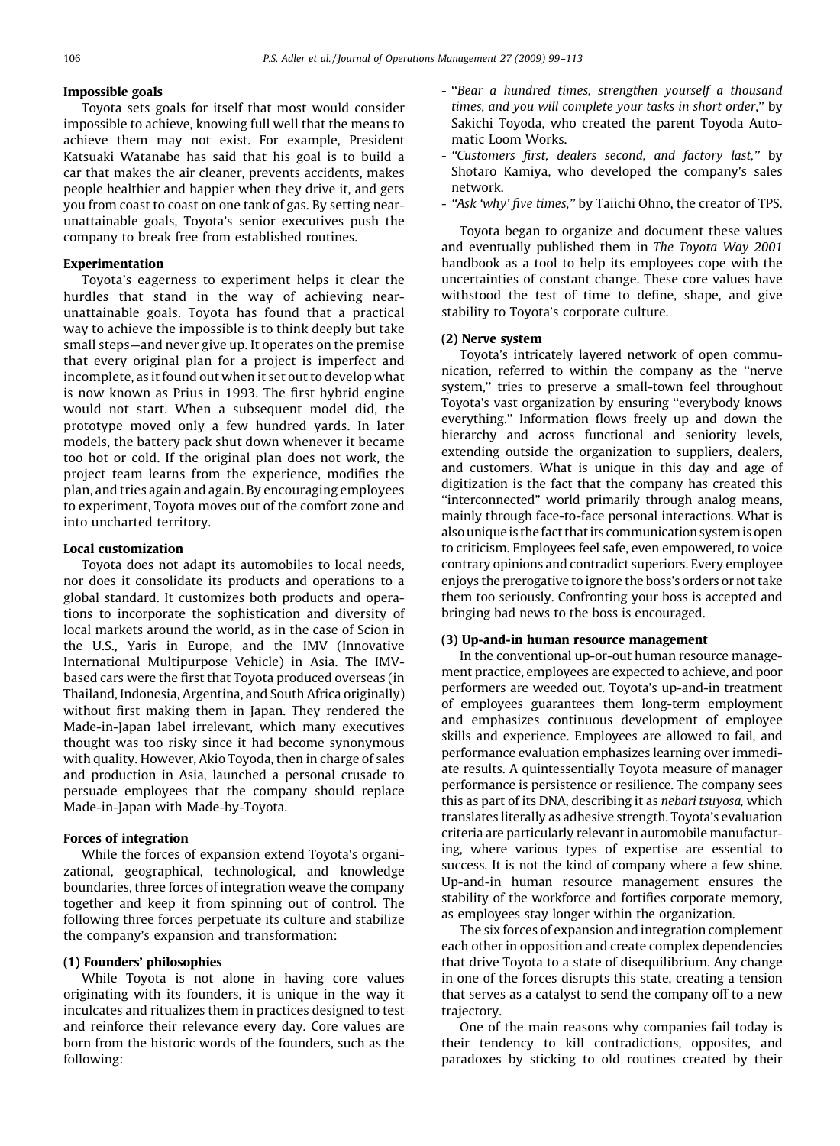#### Impossible goals

Toyota sets goals for itself that most would consider impossible to achieve, knowing full well that the means to achieve them may not exist. For example, President Katsuaki Watanabe has said that his goal is to build a car that makes the air cleaner, prevents accidents, makes people healthier and happier when they drive it, and gets you from coast to coast on one tank of gas. By setting nearunattainable goals, Toyota's senior executives push the company to break free from established routines.

# Experimentation

Toyota's eagerness to experiment helps it clear the hurdles that stand in the way of achieving nearunattainable goals. Toyota has found that a practical way to achieve the impossible is to think deeply but take small steps—and never give up. It operates on the premise that every original plan for a project is imperfect and incomplete, as it found out when it set out to develop what is now known as Prius in 1993. The first hybrid engine would not start. When a subsequent model did, the prototype moved only a few hundred yards. In later models, the battery pack shut down whenever it became too hot or cold. If the original plan does not work, the project team learns from the experience, modifies the plan, and tries again and again. By encouraging employees to experiment, Toyota moves out of the comfort zone and into uncharted territory.

### Local customization

Toyota does not adapt its automobiles to local needs, nor does it consolidate its products and operations to a global standard. It customizes both products and operations to incorporate the sophistication and diversity of local markets around the world, as in the case of Scion in the U.S., Yaris in Europe, and the IMV (Innovative International Multipurpose Vehicle) in Asia. The IMVbased cars were the first that Toyota produced overseas (in Thailand, Indonesia, Argentina, and South Africa originally) without first making them in Japan. They rendered the Made-in-Japan label irrelevant, which many executives thought was too risky since it had become synonymous with quality. However, Akio Toyoda, then in charge of sales and production in Asia, launched a personal crusade to persuade employees that the company should replace Made-in-Japan with Made-by-Toyota.

## Forces of integration

While the forces of expansion extend Toyota's organizational, geographical, technological, and knowledge boundaries, three forces of integration weave the company together and keep it from spinning out of control. The following three forces perpetuate its culture and stabilize the company's expansion and transformation:

## (1) Founders' philosophies

While Toyota is not alone in having core values originating with its founders, it is unique in the way it inculcates and ritualizes them in practices designed to test and reinforce their relevance every day. Core values are born from the historic words of the founders, such as the following:

- ''Bear a hundred times, strengthen yourself a thousand times, and you will complete your tasks in short order,'' by Sakichi Toyoda, who created the parent Toyoda Automatic Loom Works.
- ''Customers first, dealers second, and factory last,'' by Shotaro Kamiya, who developed the company's sales network.
- "Ask 'why' five times," by Taiichi Ohno, the creator of TPS.

Toyota began to organize and document these values and eventually published them in The Toyota Way 2001 handbook as a tool to help its employees cope with the uncertainties of constant change. These core values have withstood the test of time to define, shape, and give stability to Toyota's corporate culture.

#### (2) Nerve system

Toyota's intricately layered network of open communication, referred to within the company as the ''nerve system,'' tries to preserve a small-town feel throughout Toyota's vast organization by ensuring ''everybody knows everything.'' Information flows freely up and down the hierarchy and across functional and seniority levels, extending outside the organization to suppliers, dealers, and customers. What is unique in this day and age of digitization is the fact that the company has created this ''interconnected'' world primarily through analog means, mainly through face-to-face personal interactions. What is also unique is the fact that its communication system is open to criticism. Employees feel safe, even empowered, to voice contrary opinions and contradict superiors. Every employee enjoys the prerogative to ignore the boss's orders or not take them too seriously. Confronting your boss is accepted and bringing bad news to the boss is encouraged.

#### (3) Up-and-in human resource management

In the conventional up-or-out human resource management practice, employees are expected to achieve, and poor performers are weeded out. Toyota's up-and-in treatment of employees guarantees them long-term employment and emphasizes continuous development of employee skills and experience. Employees are allowed to fail, and performance evaluation emphasizes learning over immediate results. A quintessentially Toyota measure of manager performance is persistence or resilience. The company sees this as part of its DNA, describing it as nebari tsuyosa, which translates literally as adhesive strength. Toyota's evaluation criteria are particularly relevant in automobile manufacturing, where various types of expertise are essential to success. It is not the kind of company where a few shine. Up-and-in human resource management ensures the stability of the workforce and fortifies corporate memory, as employees stay longer within the organization.

The six forces of expansion and integration complement each other in opposition and create complex dependencies that drive Toyota to a state of disequilibrium. Any change in one of the forces disrupts this state, creating a tension that serves as a catalyst to send the company off to a new trajectory.

One of the main reasons why companies fail today is their tendency to kill contradictions, opposites, and paradoxes by sticking to old routines created by their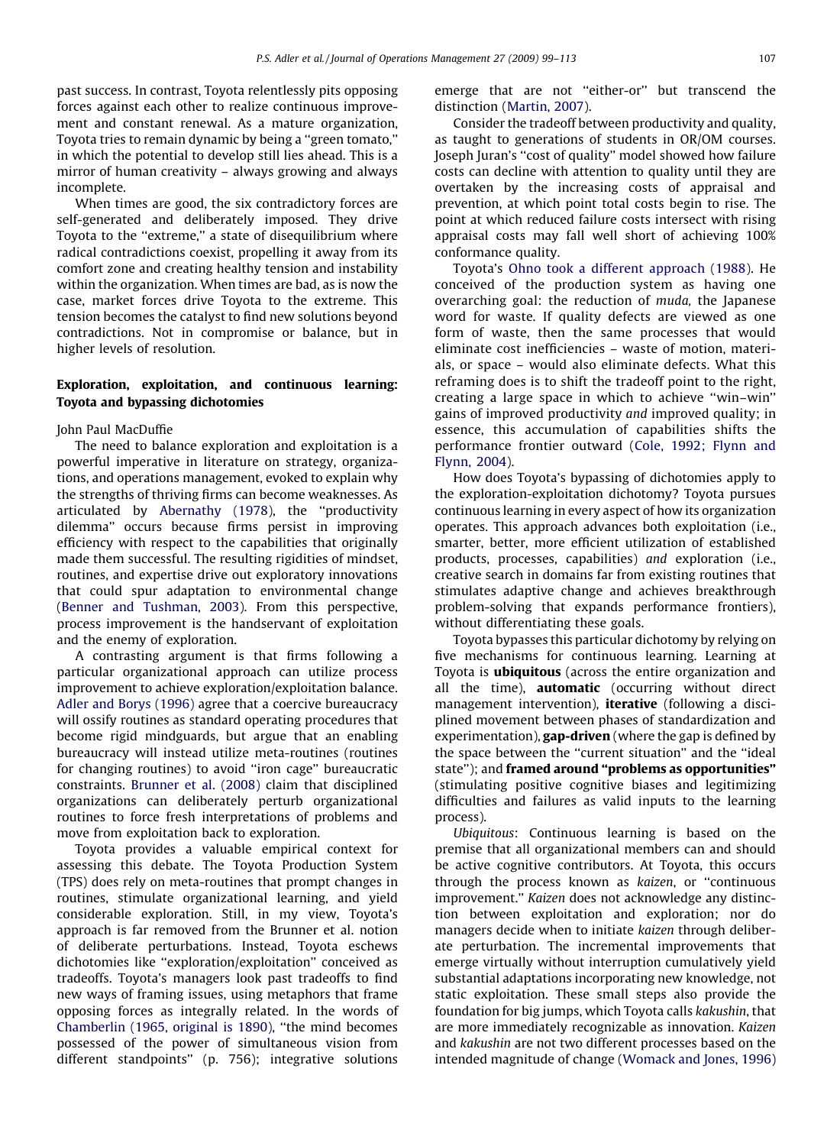past success. In contrast, Toyota relentlessly pits opposing forces against each other to realize continuous improvement and constant renewal. As a mature organization, Toyota tries to remain dynamic by being a ''green tomato,'' in which the potential to develop still lies ahead. This is a mirror of human creativity – always growing and always incomplete.

When times are good, the six contradictory forces are self-generated and deliberately imposed. They drive Toyota to the ''extreme,'' a state of disequilibrium where radical contradictions coexist, propelling it away from its comfort zone and creating healthy tension and instability within the organization. When times are bad, as is now the case, market forces drive Toyota to the extreme. This tension becomes the catalyst to find new solutions beyond contradictions. Not in compromise or balance, but in higher levels of resolution.

# Exploration, exploitation, and continuous learning: Toyota and bypassing dichotomies

John Paul MacDuffie

The need to balance exploration and exploitation is a powerful imperative in literature on strategy, organizations, and operations management, evoked to explain why the strengths of thriving firms can become weaknesses. As articulated by [Abernathy \(1978\),](#page-12-0) the ''productivity dilemma'' occurs because firms persist in improving efficiency with respect to the capabilities that originally made them successful. The resulting rigidities of mindset, routines, and expertise drive out exploratory innovations that could spur adaptation to environmental change ([Benner and Tushman, 2003](#page-12-0)). From this perspective, process improvement is the handservant of exploitation and the enemy of exploration.

A contrasting argument is that firms following a particular organizational approach can utilize process improvement to achieve exploration/exploitation balance. [Adler and Borys \(1996\)](#page-12-0) agree that a coercive bureaucracy will ossify routines as standard operating procedures that become rigid mindguards, but argue that an enabling bureaucracy will instead utilize meta-routines (routines for changing routines) to avoid ''iron cage'' bureaucratic constraints. [Brunner et al. \(2008\)](#page-12-0) claim that disciplined organizations can deliberately perturb organizational routines to force fresh interpretations of problems and move from exploitation back to exploration.

Toyota provides a valuable empirical context for assessing this debate. The Toyota Production System (TPS) does rely on meta-routines that prompt changes in routines, stimulate organizational learning, and yield considerable exploration. Still, in my view, Toyota's approach is far removed from the Brunner et al. notion of deliberate perturbations. Instead, Toyota eschews dichotomies like ''exploration/exploitation'' conceived as tradeoffs. Toyota's managers look past tradeoffs to find new ways of framing issues, using metaphors that frame opposing forces as integrally related. In the words of [Chamberlin \(1965, original is 1890\)](#page-13-0), ''the mind becomes possessed of the power of simultaneous vision from different standpoints'' (p. 756); integrative solutions

emerge that are not ''either-or'' but transcend the distinction ([Martin, 2007\)](#page-13-0).

Consider the tradeoff between productivity and quality, as taught to generations of students in OR/OM courses. Joseph Juran's ''cost of quality'' model showed how failure costs can decline with attention to quality until they are overtaken by the increasing costs of appraisal and prevention, at which point total costs begin to rise. The point at which reduced failure costs intersect with rising appraisal costs may fall well short of achieving 100% conformance quality.

Toyota's [Ohno took a different approach \(1988\).](#page-13-0) He conceived of the production system as having one overarching goal: the reduction of muda, the Japanese word for waste. If quality defects are viewed as one form of waste, then the same processes that would eliminate cost inefficiencies – waste of motion, materials, or space – would also eliminate defects. What this reframing does is to shift the tradeoff point to the right, creating a large space in which to achieve ''win–win'' gains of improved productivity and improved quality; in essence, this accumulation of capabilities shifts the performance frontier outward ([Cole, 1992; Flynn and](#page-13-0) [Flynn, 2004](#page-13-0)).

How does Toyota's bypassing of dichotomies apply to the exploration-exploitation dichotomy? Toyota pursues continuous learning in every aspect of how its organization operates. This approach advances both exploitation (i.e., smarter, better, more efficient utilization of established products, processes, capabilities) and exploration (i.e., creative search in domains far from existing routines that stimulates adaptive change and achieves breakthrough problem-solving that expands performance frontiers), without differentiating these goals.

Toyota bypasses this particular dichotomy by relying on five mechanisms for continuous learning. Learning at Toyota is ubiquitous (across the entire organization and all the time), **automatic** (occurring without direct management intervention), *iterative* (following a disciplined movement between phases of standardization and experimentation),  $gap-driven$  (where the gap is defined by the space between the ''current situation'' and the ''ideal state"); and framed around "problems as opportunities" (stimulating positive cognitive biases and legitimizing difficulties and failures as valid inputs to the learning process).

Ubiquitous: Continuous learning is based on the premise that all organizational members can and should be active cognitive contributors. At Toyota, this occurs through the process known as kaizen, or ''continuous improvement.'' Kaizen does not acknowledge any distinction between exploitation and exploration; nor do managers decide when to initiate kaizen through deliberate perturbation. The incremental improvements that emerge virtually without interruption cumulatively yield substantial adaptations incorporating new knowledge, not static exploitation. These small steps also provide the foundation for big jumps, which Toyota calls kakushin, that are more immediately recognizable as innovation. Kaizen and kakushin are not two different processes based on the intended magnitude of change ([Womack and Jones, 1996](#page-14-0))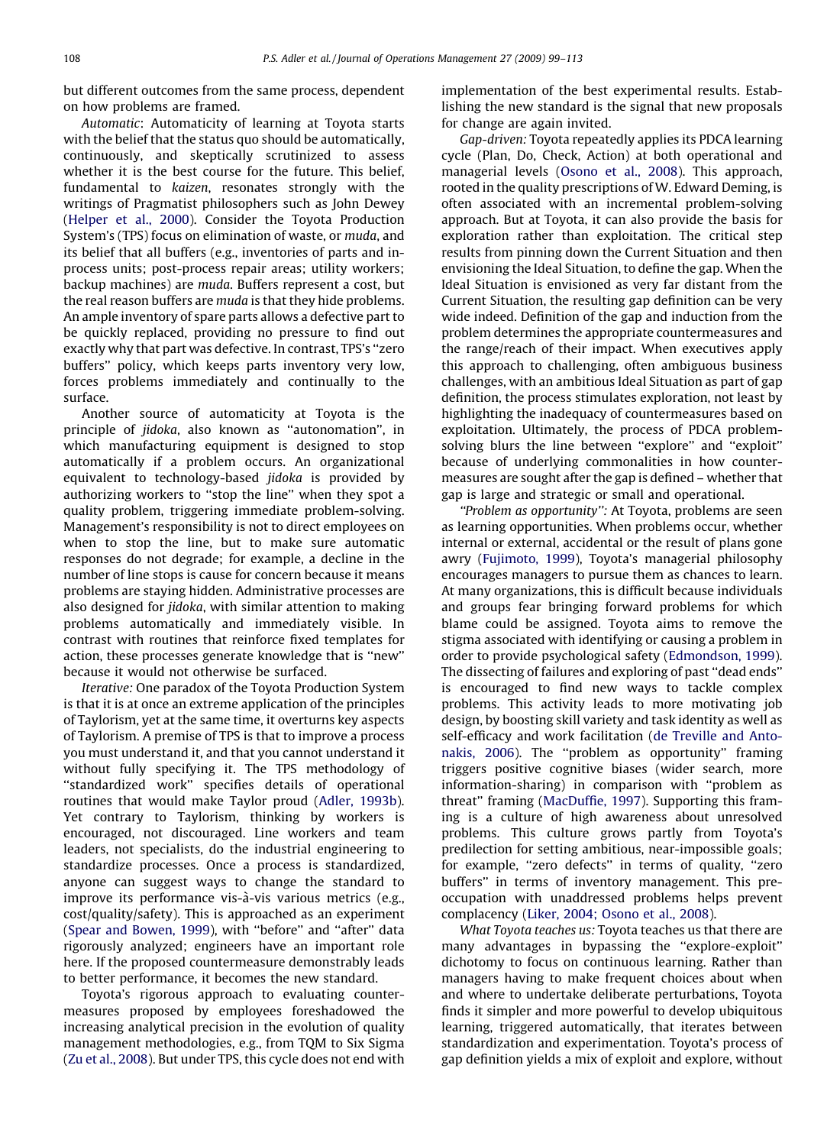but different outcomes from the same process, dependent on how problems are framed.

Automatic: Automaticity of learning at Toyota starts with the belief that the status quo should be automatically, continuously, and skeptically scrutinized to assess whether it is the best course for the future. This belief, fundamental to kaizen, resonates strongly with the writings of Pragmatist philosophers such as John Dewey [\(Helper et al., 2000\)](#page-13-0). Consider the Toyota Production System's (TPS) focus on elimination of waste, or muda, and its belief that all buffers (e.g., inventories of parts and inprocess units; post-process repair areas; utility workers; backup machines) are muda. Buffers represent a cost, but the real reason buffers are muda is that they hide problems. An ample inventory of spare parts allows a defective part to be quickly replaced, providing no pressure to find out exactly why that part was defective. In contrast, TPS's ''zero buffers'' policy, which keeps parts inventory very low, forces problems immediately and continually to the surface.

Another source of automaticity at Toyota is the principle of jidoka, also known as ''autonomation'', in which manufacturing equipment is designed to stop automatically if a problem occurs. An organizational equivalent to technology-based jidoka is provided by authorizing workers to "stop the line" when they spot a quality problem, triggering immediate problem-solving. Management's responsibility is not to direct employees on when to stop the line, but to make sure automatic responses do not degrade; for example, a decline in the number of line stops is cause for concern because it means problems are staying hidden. Administrative processes are also designed for jidoka, with similar attention to making problems automatically and immediately visible. In contrast with routines that reinforce fixed templates for action, these processes generate knowledge that is ''new'' because it would not otherwise be surfaced.

Iterative: One paradox of the Toyota Production System is that it is at once an extreme application of the principles of Taylorism, yet at the same time, it overturns key aspects of Taylorism. A premise of TPS is that to improve a process you must understand it, and that you cannot understand it without fully specifying it. The TPS methodology of ''standardized work'' specifies details of operational routines that would make Taylor proud ([Adler, 1993b](#page-12-0)). Yet contrary to Taylorism, thinking by workers is encouraged, not discouraged. Line workers and team leaders, not specialists, do the industrial engineering to standardize processes. Once a process is standardized, anyone can suggest ways to change the standard to improve its performance vis-à-vis various metrics (e.g., cost/quality/safety). This is approached as an experiment [\(Spear and Bowen, 1999](#page-13-0)), with ''before'' and ''after'' data rigorously analyzed; engineers have an important role here. If the proposed countermeasure demonstrably leads to better performance, it becomes the new standard.

Toyota's rigorous approach to evaluating countermeasures proposed by employees foreshadowed the increasing analytical precision in the evolution of quality management methodologies, e.g., from TQM to Six Sigma [\(Zu et al., 2008\)](#page-14-0). But under TPS, this cycle does not end with implementation of the best experimental results. Establishing the new standard is the signal that new proposals for change are again invited.

Gap-driven: Toyota repeatedly applies its PDCA learning cycle (Plan, Do, Check, Action) at both operational and managerial levels ([Osono et al., 2008](#page-13-0)). This approach, rooted in the quality prescriptions of W. Edward Deming, is often associated with an incremental problem-solving approach. But at Toyota, it can also provide the basis for exploration rather than exploitation. The critical step results from pinning down the Current Situation and then envisioning the Ideal Situation, to define the gap. When the Ideal Situation is envisioned as very far distant from the Current Situation, the resulting gap definition can be very wide indeed. Definition of the gap and induction from the problem determines the appropriate countermeasures and the range/reach of their impact. When executives apply this approach to challenging, often ambiguous business challenges, with an ambitious Ideal Situation as part of gap definition, the process stimulates exploration, not least by highlighting the inadequacy of countermeasures based on exploitation. Ultimately, the process of PDCA problemsolving blurs the line between ''explore'' and ''exploit'' because of underlying commonalities in how countermeasures are sought after the gap is defined – whether that gap is large and strategic or small and operational.

"Problem as opportunity": At Toyota, problems are seen as learning opportunities. When problems occur, whether internal or external, accidental or the result of plans gone awry ([Fujimoto, 1999\)](#page-13-0), Toyota's managerial philosophy encourages managers to pursue them as chances to learn. At many organizations, this is difficult because individuals and groups fear bringing forward problems for which blame could be assigned. Toyota aims to remove the stigma associated with identifying or causing a problem in order to provide psychological safety ([Edmondson, 1999](#page-13-0)). The dissecting of failures and exploring of past ''dead ends'' is encouraged to find new ways to tackle complex problems. This activity leads to more motivating job design, by boosting skill variety and task identity as well as self-efficacy and work facilitation ([de Treville and Anto](#page-13-0)[nakis, 2006\)](#page-13-0). The ''problem as opportunity'' framing triggers positive cognitive biases (wider search, more information-sharing) in comparison with ''problem as threat'' framing [\(MacDuffie, 1997\)](#page-13-0). Supporting this framing is a culture of high awareness about unresolved problems. This culture grows partly from Toyota's predilection for setting ambitious, near-impossible goals; for example, ''zero defects'' in terms of quality, ''zero buffers'' in terms of inventory management. This preoccupation with unaddressed problems helps prevent complacency ([Liker, 2004; Osono et al., 2008\)](#page-13-0).

What Toyota teaches us: Toyota teaches us that there are many advantages in bypassing the ''explore-exploit'' dichotomy to focus on continuous learning. Rather than managers having to make frequent choices about when and where to undertake deliberate perturbations, Toyota finds it simpler and more powerful to develop ubiquitous learning, triggered automatically, that iterates between standardization and experimentation. Toyota's process of gap definition yields a mix of exploit and explore, without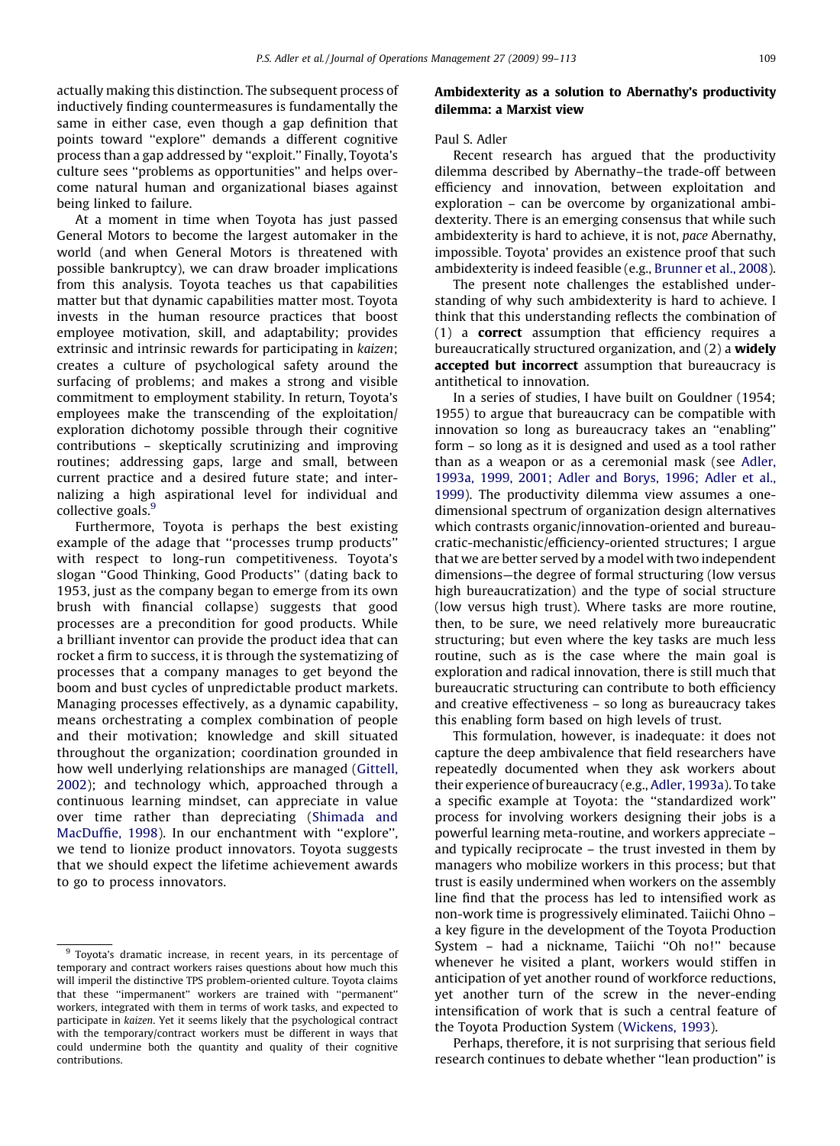actually making this distinction. The subsequent process of inductively finding countermeasures is fundamentally the same in either case, even though a gap definition that points toward ''explore'' demands a different cognitive process than a gap addressed by ''exploit.'' Finally, Toyota's culture sees ''problems as opportunities'' and helps overcome natural human and organizational biases against being linked to failure.

At a moment in time when Toyota has just passed General Motors to become the largest automaker in the world (and when General Motors is threatened with possible bankruptcy), we can draw broader implications from this analysis. Toyota teaches us that capabilities matter but that dynamic capabilities matter most. Toyota invests in the human resource practices that boost employee motivation, skill, and adaptability; provides extrinsic and intrinsic rewards for participating in kaizen; creates a culture of psychological safety around the surfacing of problems; and makes a strong and visible commitment to employment stability. In return, Toyota's employees make the transcending of the exploitation/ exploration dichotomy possible through their cognitive contributions – skeptically scrutinizing and improving routines; addressing gaps, large and small, between current practice and a desired future state; and internalizing a high aspirational level for individual and collective goals.<sup>[9](#page-10-0)</sup>

Furthermore, Toyota is perhaps the best existing example of the adage that ''processes trump products'' with respect to long-run competitiveness. Toyota's slogan ''Good Thinking, Good Products'' (dating back to 1953, just as the company began to emerge from its own brush with financial collapse) suggests that good processes are a precondition for good products. While a brilliant inventor can provide the product idea that can rocket a firm to success, it is through the systematizing of processes that a company manages to get beyond the boom and bust cycles of unpredictable product markets. Managing processes effectively, as a dynamic capability, means orchestrating a complex combination of people and their motivation; knowledge and skill situated throughout the organization; coordination grounded in how well underlying relationships are managed ([Gittell,](#page-13-0) [2002](#page-13-0)); and technology which, approached through a continuous learning mindset, can appreciate in value over time rather than depreciating ([Shimada and](#page-13-0) [MacDuffie, 1998\)](#page-13-0). In our enchantment with ''explore'', we tend to lionize product innovators. Toyota suggests that we should expect the lifetime achievement awards to go to process innovators.

# Ambidexterity as a solution to Abernathy's productivity dilemma: a Marxist view

# Paul S. Adler

Recent research has argued that the productivity dilemma described by Abernathy–the trade-off between efficiency and innovation, between exploitation and exploration – can be overcome by organizational ambidexterity. There is an emerging consensus that while such ambidexterity is hard to achieve, it is not, pace Abernathy, impossible. Toyota' provides an existence proof that such ambidexterity is indeed feasible (e.g., [Brunner et al., 2008](#page-12-0)).

The present note challenges the established understanding of why such ambidexterity is hard to achieve. I think that this understanding reflects the combination of (1) a correct assumption that efficiency requires a bureaucratically structured organization, and (2) a widely accepted but incorrect assumption that bureaucracy is antithetical to innovation.

In a series of studies, I have built on Gouldner (1954; 1955) to argue that bureaucracy can be compatible with innovation so long as bureaucracy takes an ''enabling'' form – so long as it is designed and used as a tool rather than as a weapon or as a ceremonial mask (see [Adler,](#page-12-0) [1993a, 1999, 2001; Adler and Borys, 1996; Adler et al.,](#page-12-0) [1999](#page-12-0)). The productivity dilemma view assumes a onedimensional spectrum of organization design alternatives which contrasts organic/innovation-oriented and bureaucratic-mechanistic/efficiency-oriented structures; I argue that we are better served by a model with two independent dimensions—the degree of formal structuring (low versus high bureaucratization) and the type of social structure (low versus high trust). Where tasks are more routine, then, to be sure, we need relatively more bureaucratic structuring; but even where the key tasks are much less routine, such as is the case where the main goal is exploration and radical innovation, there is still much that bureaucratic structuring can contribute to both efficiency and creative effectiveness – so long as bureaucracy takes this enabling form based on high levels of trust.

This formulation, however, is inadequate: it does not capture the deep ambivalence that field researchers have repeatedly documented when they ask workers about their experience of bureaucracy (e.g., [Adler, 1993a](#page-12-0)). To take a specific example at Toyota: the ''standardized work'' process for involving workers designing their jobs is a powerful learning meta-routine, and workers appreciate – and typically reciprocate – the trust invested in them by managers who mobilize workers in this process; but that trust is easily undermined when workers on the assembly line find that the process has led to intensified work as non-work time is progressively eliminated. Taiichi Ohno – a key figure in the development of the Toyota Production System - had a nickname, Taiichi "Oh no!" because whenever he visited a plant, workers would stiffen in anticipation of yet another round of workforce reductions, yet another turn of the screw in the never-ending intensification of work that is such a central feature of the Toyota Production System ([Wickens, 1993\)](#page-13-0).

Perhaps, therefore, it is not surprising that serious field research continues to debate whether ''lean production'' is

<span id="page-10-0"></span><sup>&</sup>lt;sup>9</sup> Toyota's dramatic increase, in recent years, in its percentage of temporary and contract workers raises questions about how much this will imperil the distinctive TPS problem-oriented culture. Toyota claims that these ''impermanent'' workers are trained with ''permanent'' workers, integrated with them in terms of work tasks, and expected to participate in kaizen. Yet it seems likely that the psychological contract with the temporary/contract workers must be different in ways that could undermine both the quantity and quality of their cognitive contributions.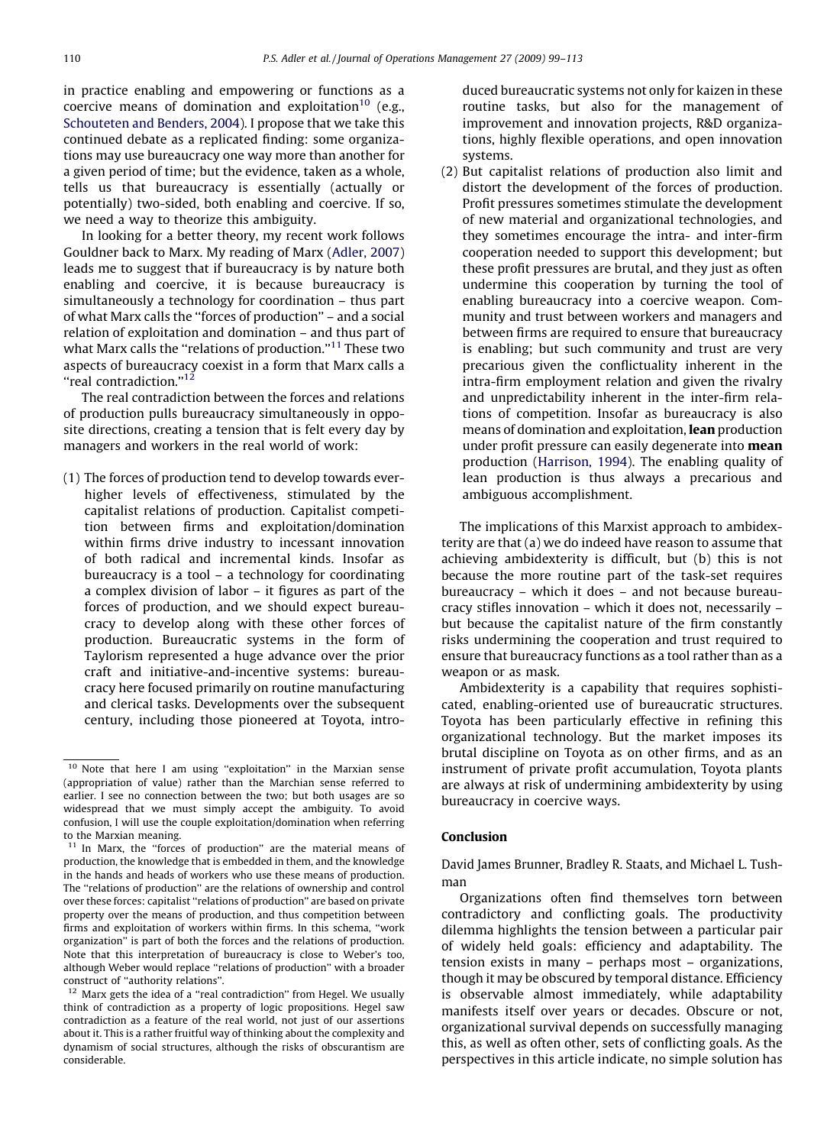in practice enabling and empowering or functions as a coercive means of domination and exploitation<sup>[10](#page-11-0)</sup> (e.g., [Schouteten and Benders, 2004](#page-13-0)). I propose that we take this continued debate as a replicated finding: some organizations may use bureaucracy one way more than another for a given period of time; but the evidence, taken as a whole, tells us that bureaucracy is essentially (actually or potentially) two-sided, both enabling and coercive. If so, we need a way to theorize this ambiguity.

In looking for a better theory, my recent work follows Gouldner back to Marx. My reading of Marx [\(Adler, 2007](#page-12-0)) leads me to suggest that if bureaucracy is by nature both enabling and coercive, it is because bureaucracy is simultaneously a technology for coordination – thus part of what Marx calls the ''forces of production'' – and a social relation of exploitation and domination – and thus part of what Marx calls the "relations of production."<sup>11</sup> These two aspects of bureaucracy coexist in a form that Marx calls a ''real contradiction.''[12](#page-11-0)

The real contradiction between the forces and relations of production pulls bureaucracy simultaneously in opposite directions, creating a tension that is felt every day by managers and workers in the real world of work:

(1) The forces of production tend to develop towards everhigher levels of effectiveness, stimulated by the capitalist relations of production. Capitalist competition between firms and exploitation/domination within firms drive industry to incessant innovation of both radical and incremental kinds. Insofar as bureaucracy is a tool – a technology for coordinating a complex division of labor – it figures as part of the forces of production, and we should expect bureaucracy to develop along with these other forces of production. Bureaucratic systems in the form of Taylorism represented a huge advance over the prior craft and initiative-and-incentive systems: bureaucracy here focused primarily on routine manufacturing and clerical tasks. Developments over the subsequent century, including those pioneered at Toyota, introduced bureaucratic systems not only for kaizen in these routine tasks, but also for the management of improvement and innovation projects, R&D organizations, highly flexible operations, and open innovation systems.

(2) But capitalist relations of production also limit and distort the development of the forces of production. Profit pressures sometimes stimulate the development of new material and organizational technologies, and they sometimes encourage the intra- and inter-firm cooperation needed to support this development; but these profit pressures are brutal, and they just as often undermine this cooperation by turning the tool of enabling bureaucracy into a coercive weapon. Community and trust between workers and managers and between firms are required to ensure that bureaucracy is enabling; but such community and trust are very precarious given the conflictuality inherent in the intra-firm employment relation and given the rivalry and unpredictability inherent in the inter-firm relations of competition. Insofar as bureaucracy is also means of domination and exploitation, lean production under profit pressure can easily degenerate into mean production ([Harrison, 1994\)](#page-13-0). The enabling quality of lean production is thus always a precarious and ambiguous accomplishment.

The implications of this Marxist approach to ambidexterity are that (a) we do indeed have reason to assume that achieving ambidexterity is difficult, but (b) this is not because the more routine part of the task-set requires bureaucracy – which it does – and not because bureaucracy stifles innovation – which it does not, necessarily – but because the capitalist nature of the firm constantly risks undermining the cooperation and trust required to ensure that bureaucracy functions as a tool rather than as a weapon or as mask.

Ambidexterity is a capability that requires sophisticated, enabling-oriented use of bureaucratic structures. Toyota has been particularly effective in refining this organizational technology. But the market imposes its brutal discipline on Toyota as on other firms, and as an instrument of private profit accumulation, Toyota plants are always at risk of undermining ambidexterity by using bureaucracy in coercive ways.

## Conclusion

David James Brunner, Bradley R. Staats, and Michael L. Tushman

Organizations often find themselves torn between contradictory and conflicting goals. The productivity dilemma highlights the tension between a particular pair of widely held goals: efficiency and adaptability. The tension exists in many – perhaps most – organizations, though it may be obscured by temporal distance. Efficiency is observable almost immediately, while adaptability manifests itself over years or decades. Obscure or not, organizational survival depends on successfully managing this, as well as often other, sets of conflicting goals. As the perspectives in this article indicate, no simple solution has

<sup>10</sup> Note that here I am using ''exploitation'' in the Marxian sense (appropriation of value) rather than the Marchian sense referred to earlier. I see no connection between the two; but both usages are so widespread that we must simply accept the ambiguity. To avoid confusion, I will use the couple exploitation/domination when referring to the Marxian meaning.

<sup>11</sup> In Marx, the ''forces of production'' are the material means of production, the knowledge that is embedded in them, and the knowledge in the hands and heads of workers who use these means of production. The ''relations of production'' are the relations of ownership and control over these forces: capitalist ''relations of production'' are based on private property over the means of production, and thus competition between firms and exploitation of workers within firms. In this schema, ''work organization'' is part of both the forces and the relations of production. Note that this interpretation of bureaucracy is close to Weber's too, although Weber would replace ''relations of production'' with a broader construct of ''authority relations''.

<span id="page-11-0"></span><sup>&</sup>lt;sup>12</sup> Marx gets the idea of a "real contradiction" from Hegel. We usually think of contradiction as a property of logic propositions. Hegel saw contradiction as a feature of the real world, not just of our assertions about it. This is a rather fruitful way of thinking about the complexity and dynamism of social structures, although the risks of obscurantism are considerable.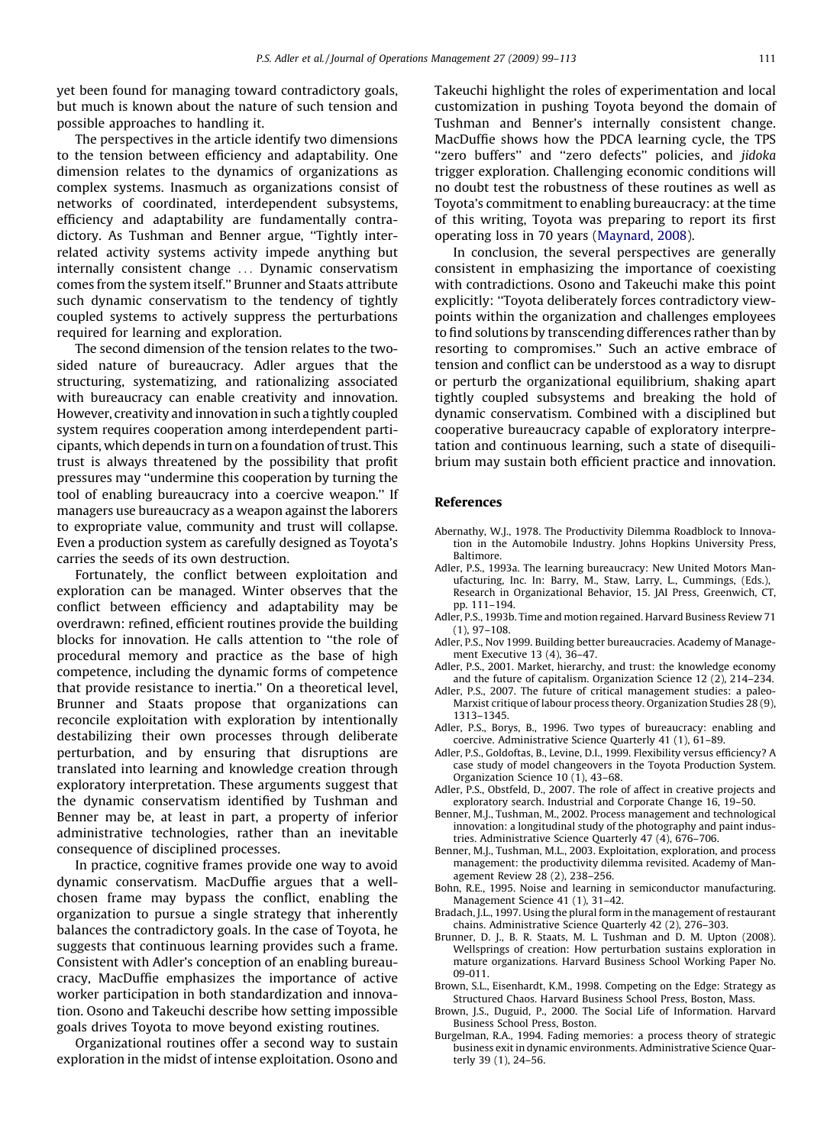yet been found for managing toward contradictory goals, but much is known about the nature of such tension and possible approaches to handling it.

The perspectives in the article identify two dimensions to the tension between efficiency and adaptability. One dimension relates to the dynamics of organizations as complex systems. Inasmuch as organizations consist of networks of coordinated, interdependent subsystems, efficiency and adaptability are fundamentally contradictory. As Tushman and Benner argue, ''Tightly interrelated activity systems activity impede anything but internally consistent change ... Dynamic conservatism comes from the system itself.'' Brunner and Staats attribute such dynamic conservatism to the tendency of tightly coupled systems to actively suppress the perturbations required for learning and exploration.

The second dimension of the tension relates to the twosided nature of bureaucracy. Adler argues that the structuring, systematizing, and rationalizing associated with bureaucracy can enable creativity and innovation. However, creativity and innovation in such a tightly coupled system requires cooperation among interdependent participants, which depends in turn on a foundation of trust. This trust is always threatened by the possibility that profit pressures may ''undermine this cooperation by turning the tool of enabling bureaucracy into a coercive weapon.'' If managers use bureaucracy as a weapon against the laborers to expropriate value, community and trust will collapse. Even a production system as carefully designed as Toyota's carries the seeds of its own destruction.

Fortunately, the conflict between exploitation and exploration can be managed. Winter observes that the conflict between efficiency and adaptability may be overdrawn: refined, efficient routines provide the building blocks for innovation. He calls attention to ''the role of procedural memory and practice as the base of high competence, including the dynamic forms of competence that provide resistance to inertia.'' On a theoretical level, Brunner and Staats propose that organizations can reconcile exploitation with exploration by intentionally destabilizing their own processes through deliberate perturbation, and by ensuring that disruptions are translated into learning and knowledge creation through exploratory interpretation. These arguments suggest that the dynamic conservatism identified by Tushman and Benner may be, at least in part, a property of inferior administrative technologies, rather than an inevitable consequence of disciplined processes.

In practice, cognitive frames provide one way to avoid dynamic conservatism. MacDuffie argues that a wellchosen frame may bypass the conflict, enabling the organization to pursue a single strategy that inherently balances the contradictory goals. In the case of Toyota, he suggests that continuous learning provides such a frame. Consistent with Adler's conception of an enabling bureaucracy, MacDuffie emphasizes the importance of active worker participation in both standardization and innovation. Osono and Takeuchi describe how setting impossible goals drives Toyota to move beyond existing routines.

<span id="page-12-0"></span>Organizational routines offer a second way to sustain exploration in the midst of intense exploitation. Osono and Takeuchi highlight the roles of experimentation and local customization in pushing Toyota beyond the domain of Tushman and Benner's internally consistent change. MacDuffie shows how the PDCA learning cycle, the TPS "zero buffers" and "zero defects" policies, and jidoka trigger exploration. Challenging economic conditions will no doubt test the robustness of these routines as well as Toyota's commitment to enabling bureaucracy: at the time of this writing, Toyota was preparing to report its first operating loss in 70 years [\(Maynard, 2008](#page-13-0)).

In conclusion, the several perspectives are generally consistent in emphasizing the importance of coexisting with contradictions. Osono and Takeuchi make this point explicitly: ''Toyota deliberately forces contradictory viewpoints within the organization and challenges employees to find solutions by transcending differences rather than by resorting to compromises.'' Such an active embrace of tension and conflict can be understood as a way to disrupt or perturb the organizational equilibrium, shaking apart tightly coupled subsystems and breaking the hold of dynamic conservatism. Combined with a disciplined but cooperative bureaucracy capable of exploratory interpretation and continuous learning, such a state of disequilibrium may sustain both efficient practice and innovation.

#### References

- Abernathy, W.J., 1978. The Productivity Dilemma Roadblock to Innovation in the Automobile Industry. Johns Hopkins University Press, Baltimore.
- Adler, P.S., 1993a. The learning bureaucracy: New United Motors Manufacturing, Inc. In: Barry, M., Staw, Larry, L., Cummings, (Eds.), Research in Organizational Behavior, 15. JAI Press, Greenwich, CT, pp. 111–194.
- Adler, P.S., 1993b. Time and motion regained. Harvard Business Review 71 (1), 97–108.
- Adler, P.S., Nov 1999. Building better bureaucracies. Academy of Management Executive 13 (4), 36–47.
- Adler, P.S., 2001. Market, hierarchy, and trust: the knowledge economy and the future of capitalism. Organization Science 12 (2), 214–234.
- Adler, P.S., 2007. The future of critical management studies: a paleo-Marxist critique of labour process theory. Organization Studies 28 (9), 1313–1345.
- Adler, P.S., Borys, B., 1996. Two types of bureaucracy: enabling and coercive. Administrative Science Quarterly 41 (1), 61–89.
- Adler, P.S., Goldoftas, B., Levine, D.I., 1999. Flexibility versus efficiency? A case study of model changeovers in the Toyota Production System. Organization Science 10 (1), 43–68.
- Adler, P.S., Obstfeld, D., 2007. The role of affect in creative projects and exploratory search. Industrial and Corporate Change 16, 19–50.
- Benner, M.J., Tushman, M., 2002. Process management and technological innovation: a longitudinal study of the photography and paint industries. Administrative Science Quarterly 47 (4), 676–706.
- Benner, M.J., Tushman, M.L., 2003. Exploitation, exploration, and process management: the productivity dilemma revisited. Academy of Management Review 28 (2), 238–256.
- Bohn, R.E., 1995. Noise and learning in semiconductor manufacturing. Management Science 41 (1), 31–42.
- Bradach, J.L., 1997. Using the plural form in the management of restaurant chains. Administrative Science Quarterly 42 (2), 276–303.
- Brunner, D. J., B. R. Staats, M. L. Tushman and D. M. Upton (2008). Wellsprings of creation: How perturbation sustains exploration in mature organizations. Harvard Business School Working Paper No. 09-011.
- Brown, S.L., Eisenhardt, K.M., 1998. Competing on the Edge: Strategy as Structured Chaos. Harvard Business School Press, Boston, Mass.
- Brown, J.S., Duguid, P., 2000. The Social Life of Information. Harvard Business School Press, Boston.
- Burgelman, R.A., 1994. Fading memories: a process theory of strategic business exit in dynamic environments. Administrative Science Quarterly 39 (1), 24–56.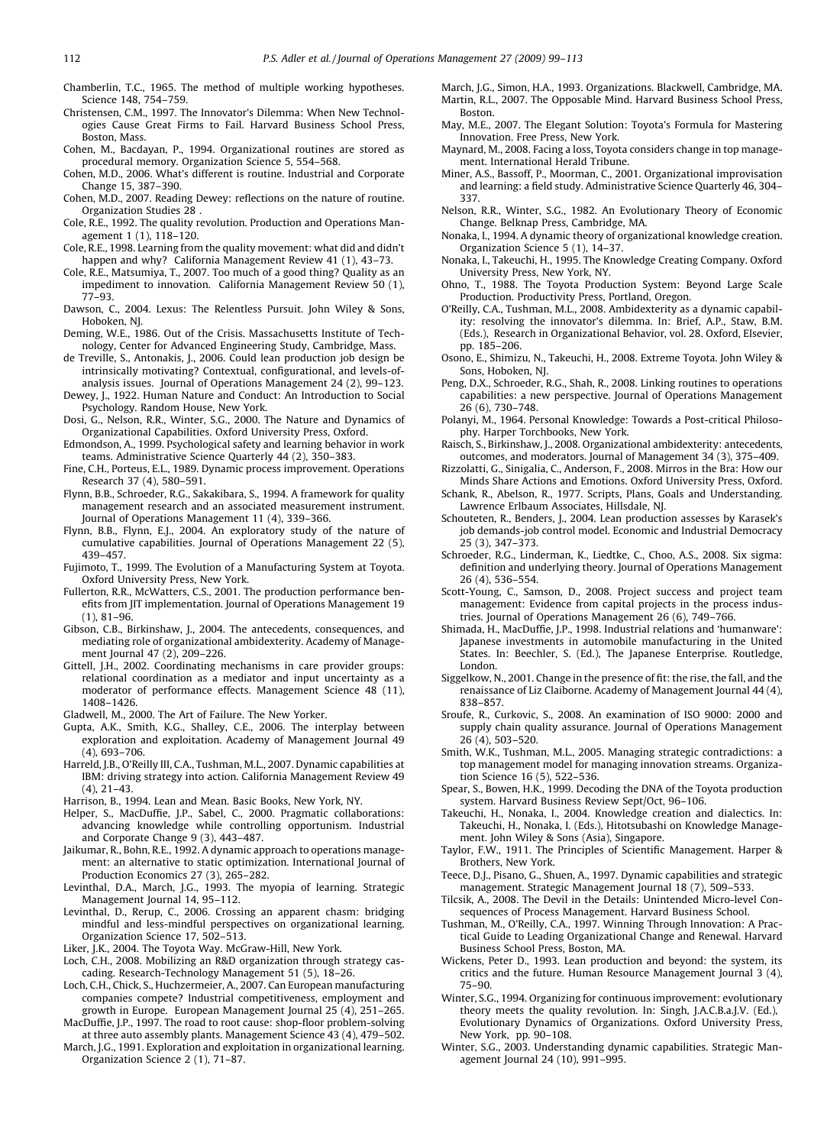- Chamberlin, T.C., 1965. The method of multiple working hypotheses. Science 148, 754–759.
- Christensen, C.M., 1997. The Innovator's Dilemma: When New Technologies Cause Great Firms to Fail. Harvard Business School Press, Boston, Mass.
- Cohen, M., Bacdayan, P., 1994. Organizational routines are stored as procedural memory. Organization Science 5, 554–568.
- Cohen, M.D., 2006. What's different is routine. Industrial and Corporate Change 15, 387–390.
- Cohen, M.D., 2007. Reading Dewey: reflections on the nature of routine. Organization Studies 28 .
- Cole, R.E., 1992. The quality revolution. Production and Operations Management 1 (1), 118–120.
- Cole, R.E., 1998. Learning from the quality movement: what did and didn't happen and why? California Management Review 41 (1), 43-73.
- Cole, R.E., Matsumiya, T., 2007. Too much of a good thing? Quality as an impediment to innovation. California Management Review 50 (1), 77–93.
- Dawson, C., 2004. Lexus: The Relentless Pursuit. John Wiley & Sons, Hoboken, NJ.
- Deming, W.E., 1986. Out of the Crisis. Massachusetts Institute of Technology, Center for Advanced Engineering Study, Cambridge, Mass.
- de Treville, S., Antonakis, J., 2006. Could lean production job design be intrinsically motivating? Contextual, configurational, and levels-ofanalysis issues. Journal of Operations Management 24 (2), 99–123.
- Dewey, J., 1922. Human Nature and Conduct: An Introduction to Social Psychology. Random House, New York.
- Dosi, G., Nelson, R.R., Winter, S.G., 2000. The Nature and Dynamics of Organizational Capabilities. Oxford University Press, Oxford.
- Edmondson, A., 1999. Psychological safety and learning behavior in work teams. Administrative Science Quarterly 44 (2), 350–383.
- Fine, C.H., Porteus, E.L., 1989. Dynamic process improvement. Operations Research 37 (4), 580–591.
- Flynn, B.B., Schroeder, R.G., Sakakibara, S., 1994. A framework for quality management research and an associated measurement instrument. Journal of Operations Management 11 (4), 339–366.
- Flynn, B.B., Flynn, E.J., 2004. An exploratory study of the nature of cumulative capabilities. Journal of Operations Management 22 (5), 439–457.
- Fujimoto, T., 1999. The Evolution of a Manufacturing System at Toyota. Oxford University Press, New York.
- Fullerton, R.R., McWatters, C.S., 2001. The production performance benefits from JIT implementation. Journal of Operations Management 19 (1), 81–96.
- Gibson, C.B., Birkinshaw, J., 2004. The antecedents, consequences, and mediating role of organizational ambidexterity. Academy of Management Journal 47 (2), 209–226.
- Gittell, J.H., 2002. Coordinating mechanisms in care provider groups: relational coordination as a mediator and input uncertainty as a moderator of performance effects. Management Science 48 (11), 1408–1426.
- Gladwell, M., 2000. The Art of Failure. The New Yorker.
- Gupta, A.K., Smith, K.G., Shalley, C.E., 2006. The interplay between exploration and exploitation. Academy of Management Journal 49  $(4)$ , 693–706.
- Harreld, J.B., O'Reilly III, C.A., Tushman, M.L., 2007. Dynamic capabilities at IBM: driving strategy into action. California Management Review 49 (4), 21–43.
- Harrison, B., 1994. Lean and Mean. Basic Books, New York, NY.
- Helper, S., MacDuffie, J.P., Sabel, C., 2000. Pragmatic collaborations: advancing knowledge while controlling opportunism. Industrial and Corporate Change 9 (3), 443–487.
- Jaikumar, R., Bohn, R.E., 1992. A dynamic approach to operations management: an alternative to static optimization. International Journal of Production Economics 27 (3), 265–282.
- Levinthal, D.A., March, J.G., 1993. The myopia of learning. Strategic Management Journal 14, 95–112.
- Levinthal, D., Rerup, C., 2006. Crossing an apparent chasm: bridging mindful and less-mindful perspectives on organizational learning. Organization Science 17, 502–513.
- Liker, J.K., 2004. The Toyota Way. McGraw-Hill, New York.
- Loch, C.H., 2008. Mobilizing an R&D organization through strategy cascading. Research-Technology Management 51 (5), 18–26.
- Loch, C.H., Chick, S., Huchzermeier, A., 2007. Can European manufacturing companies compete? Industrial competitiveness, employment and growth in Europe. European Management Journal 25 (4), 251–265.
- MacDuffie, J.P., 1997. The road to root cause: shop-floor problem-solving at three auto assembly plants. Management Science 43 (4), 479–502.
- <span id="page-13-0"></span>March, J.G., 1991. Exploration and exploitation in organizational learning. Organization Science 2 (1), 71–87.
- March, J.G., Simon, H.A., 1993. Organizations. Blackwell, Cambridge, MA. Martin, R.L., 2007. The Opposable Mind. Harvard Business School Press, Boston.
- May, M.E., 2007. The Elegant Solution: Toyota's Formula for Mastering Innovation. Free Press, New York.
- Maynard, M., 2008. Facing a loss, Toyota considers change in top management. International Herald Tribune.
- Miner, A.S., Bassoff, P., Moorman, C., 2001. Organizational improvisation and learning: a field study. Administrative Science Quarterly 46, 304– 337.
- Nelson, R.R., Winter, S.G., 1982. An Evolutionary Theory of Economic Change. Belknap Press, Cambridge, MA.
- Nonaka, I., 1994. A dynamic theory of organizational knowledge creation. Organization Science 5 (1), 14–37.
- Nonaka, I., Takeuchi, H., 1995. The Knowledge Creating Company. Oxford University Press, New York, NY.
- Ohno, T., 1988. The Toyota Production System: Beyond Large Scale Production. Productivity Press, Portland, Oregon.
- O'Reilly, C.A., Tushman, M.L., 2008. Ambidexterity as a dynamic capability: resolving the innovator's dilemma. In: Brief, A.P., Staw, B.M. (Eds.), Research in Organizational Behavior, vol. 28. Oxford, Elsevier, pp. 185–206.
- Osono, E., Shimizu, N., Takeuchi, H., 2008. Extreme Toyota. John Wiley & Sons, Hoboken, NJ.
- Peng, D.X., Schroeder, R.G., Shah, R., 2008. Linking routines to operations capabilities: a new perspective. Journal of Operations Management 26 (6), 730–748.
- Polanyi, M., 1964. Personal Knowledge: Towards a Post-critical Philosophy. Harper Torchbooks, New York.
- Raisch, S., Birkinshaw, J., 2008. Organizational ambidexterity: antecedents, outcomes, and moderators. Journal of Management 34 (3), 375–409.
- Rizzolatti, G., Sinigalia, C., Anderson, F., 2008. Mirros in the Bra: How our Minds Share Actions and Emotions. Oxford University Press, Oxford.
- Schank, R., Abelson, R., 1977. Scripts, Plans, Goals and Understanding. Lawrence Erlbaum Associates, Hillsdale, NJ.
- Schouteten, R., Benders, J., 2004. Lean production assesses by Karasek's job demands-job control model. Economic and Industrial Democracy 25 (3), 347–373.
- Schroeder, R.G., Linderman, K., Liedtke, C., Choo, A.S., 2008. Six sigma: definition and underlying theory. Journal of Operations Management 26 (4), 536–554.
- Scott-Young, C., Samson, D., 2008. Project success and project team management: Evidence from capital projects in the process industries. Journal of Operations Management 26 (6), 749–766.
- Shimada, H., MacDuffie, J.P., 1998. Industrial relations and 'humanware': Japanese investments in automobile manufacturing in the United States. In: Beechler, S. (Ed.), The Japanese Enterprise. Routledge, London.
- Siggelkow, N., 2001. Change in the presence of fit: the rise, the fall, and the renaissance of Liz Claiborne. Academy of Management Journal 44 (4), 838–857.
- Sroufe, R., Curkovic, S., 2008. An examination of ISO 9000: 2000 and supply chain quality assurance. Journal of Operations Management 26 (4), 503–520.
- Smith, W.K., Tushman, M.L., 2005. Managing strategic contradictions: a top management model for managing innovation streams. Organization Science 16 (5), 522–536.
- Spear, S., Bowen, H.K., 1999. Decoding the DNA of the Toyota production system. Harvard Business Review Sept/Oct, 96–106.
- Takeuchi, H., Nonaka, I., 2004. Knowledge creation and dialectics. In: Takeuchi, H., Nonaka, I. (Eds.), Hitotsubashi on Knowledge Management. John Wiley & Sons (Asia), Singapore.
- Taylor, F.W., 1911. The Principles of Scientific Management. Harper & Brothers, New York.
- Teece, D.J., Pisano, G., Shuen, A., 1997. Dynamic capabilities and strategic management. Strategic Management Journal 18 (7), 509–533.
- Tilcsik, A., 2008. The Devil in the Details: Unintended Micro-level Consequences of Process Management. Harvard Business School.
- Tushman, M., O'Reilly, C.A., 1997. Winning Through Innovation: A Practical Guide to Leading Organizational Change and Renewal. Harvard Business School Press, Boston, MA.
- Wickens, Peter D., 1993. Lean production and beyond: the system, its critics and the future. Human Resource Management Journal 3 (4), 75–90.
- Winter, S.G., 1994. Organizing for continuous improvement: evolutionary theory meets the quality revolution. In: Singh, J.A.C.B.a.J.V. (Ed.), Evolutionary Dynamics of Organizations. Oxford University Press, New York, pp. 90–108.
- Winter, S.G., 2003. Understanding dynamic capabilities. Strategic Management Journal 24 (10), 991–995.